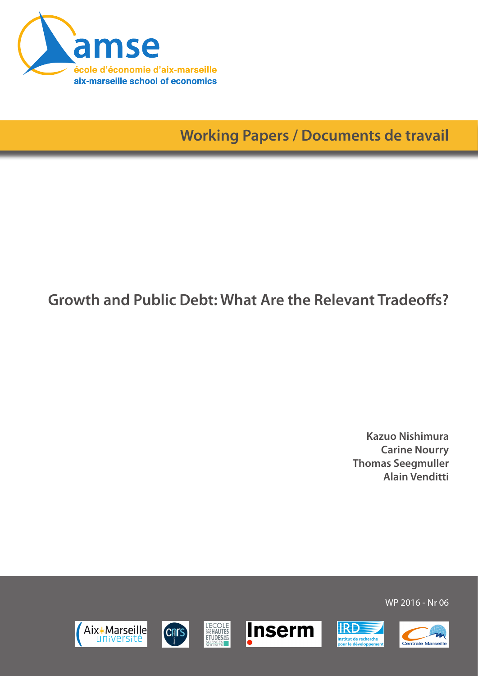

**Working Papers / Documents de travail**

# **Growth and Public Debt: What Are the Relevant Tradeoffs?**

**Kazuo Nishimura Carine Nourry Thomas Seegmuller Alain Venditti**

Aix\*Marseille université











WP 2016 - Nr 06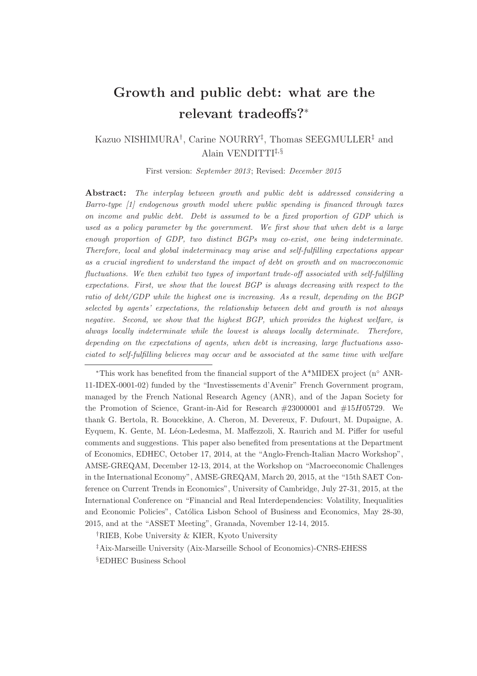## Growth and public debt: what are the relevant tradeoffs?<sup>∗</sup>

#### Kazuo NISHIMURA† , Carine NOURRY‡ , Thomas SEEGMULLER‡ and Alain VENDITTI<sup>‡, §</sup>

First version: September 2013; Revised: December 2015

Abstract: The interplay between growth and public debt is addressed considering a Barro-type [1] endogenous growth model where public spending is financed through taxes on income and public debt. Debt is assumed to be a fixed proportion of GDP which is used as a policy parameter by the government. We first show that when debt is a large enough proportion of GDP, two distinct BGPs may co-exist, one being indeterminate. Therefore, local and global indeterminacy may arise and self-fulfilling expectations appear as a crucial ingredient to understand the impact of debt on growth and on macroeconomic fluctuations. We then exhibit two types of important trade-off associated with self-fulfilling expectations. First, we show that the lowest BGP is always decreasing with respect to the ratio of debt/GDP while the highest one is increasing. As a result, depending on the BGP selected by agents' expectations, the relationship between debt and growth is not always negative. Second, we show that the highest BGP, which provides the highest welfare, is always locally indeterminate while the lowest is always locally determinate. Therefore, depending on the expectations of agents, when debt is increasing, large fluctuations associated to self-fulfilling believes may occur and be associated at the same time with welfare

<sup>∗</sup>This work has benefited from the financial support of the A\*MIDEX project (n◦ ANR-11-IDEX-0001-02) funded by the "Investissements d'Avenir" French Government program, managed by the French National Research Agency (ANR), and of the Japan Society for the Promotion of Science, Grant-in-Aid for Research #23000001 and #15H05729. We thank G. Bertola, R. Boucekkine, A. Cheron, M. Devereux, F. Dufourt, M. Dupaigne, A. Eyquem, K. Gente, M. Léon-Ledesma, M. Maffezzoli, X. Raurich and M. Piffer for useful comments and suggestions. This paper also benefited from presentations at the Department of Economics, EDHEC, October 17, 2014, at the "Anglo-French-Italian Macro Workshop", AMSE-GREQAM, December 12-13, 2014, at the Workshop on "Macroeconomic Challenges in the International Economy", AMSE-GREQAM, March 20, 2015, at the "15th SAET Conference on Current Trends in Economics", University of Cambridge, July 27-31, 2015, at the International Conference on "Financial and Real Interdependencies: Volatility, Inequalities and Economic Policies", Católica Lisbon School of Business and Economics, May 28-30, 2015, and at the "ASSET Meeting", Granada, November 12-14, 2015.

†RIEB, Kobe University & KIER, Kyoto University

‡Aix-Marseille University (Aix-Marseille School of Economics)-CNRS-EHESS

§EDHEC Business School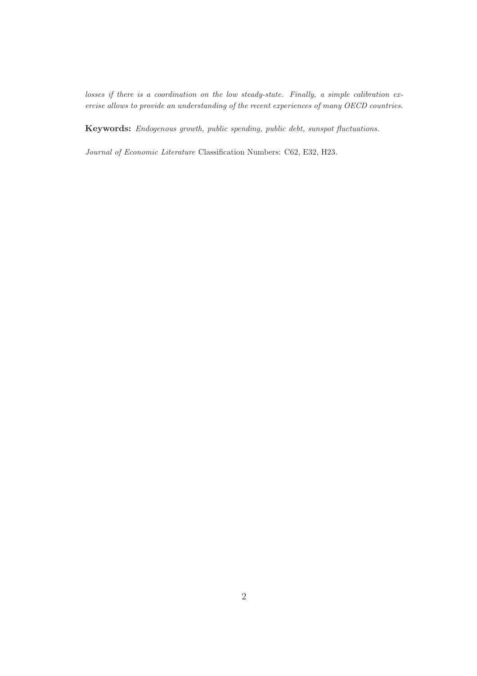losses if there is a coordination on the low steady-state. Finally, a simple calibration exercise allows to provide an understanding of the recent experiences of many OECD countries.

Keywords: Endogenous growth, public spending, public debt, sunspot fluctuations.

Journal of Economic Literature Classification Numbers: C62, E32, H23.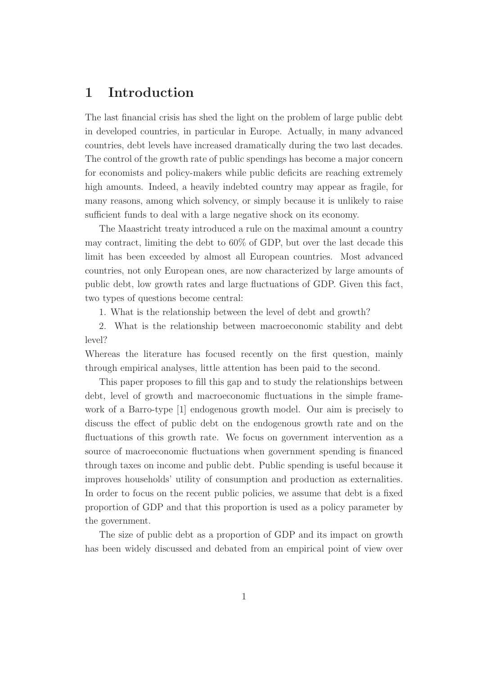### 1 Introduction

The last financial crisis has shed the light on the problem of large public debt in developed countries, in particular in Europe. Actually, in many advanced countries, debt levels have increased dramatically during the two last decades. The control of the growth rate of public spendings has become a major concern for economists and policy-makers while public deficits are reaching extremely high amounts. Indeed, a heavily indebted country may appear as fragile, for many reasons, among which solvency, or simply because it is unlikely to raise sufficient funds to deal with a large negative shock on its economy.

The Maastricht treaty introduced a rule on the maximal amount a country may contract, limiting the debt to 60% of GDP, but over the last decade this limit has been exceeded by almost all European countries. Most advanced countries, not only European ones, are now characterized by large amounts of public debt, low growth rates and large fluctuations of GDP. Given this fact, two types of questions become central:

1. What is the relationship between the level of debt and growth?

2. What is the relationship between macroeconomic stability and debt level?

Whereas the literature has focused recently on the first question, mainly through empirical analyses, little attention has been paid to the second.

This paper proposes to fill this gap and to study the relationships between debt, level of growth and macroeconomic fluctuations in the simple framework of a Barro-type [1] endogenous growth model. Our aim is precisely to discuss the effect of public debt on the endogenous growth rate and on the fluctuations of this growth rate. We focus on government intervention as a source of macroeconomic fluctuations when government spending is financed through taxes on income and public debt. Public spending is useful because it improves households' utility of consumption and production as externalities. In order to focus on the recent public policies, we assume that debt is a fixed proportion of GDP and that this proportion is used as a policy parameter by the government.

The size of public debt as a proportion of GDP and its impact on growth has been widely discussed and debated from an empirical point of view over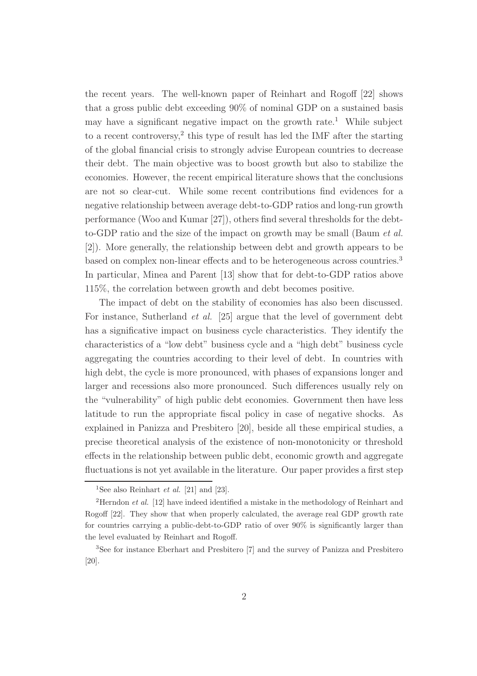the recent years. The well-known paper of Reinhart and Rogoff [22] shows that a gross public debt exceeding 90% of nominal GDP on a sustained basis may have a significant negative impact on the growth rate.<sup>1</sup> While subject to a recent controversy,<sup>2</sup> this type of result has led the IMF after the starting of the global financial crisis to strongly advise European countries to decrease their debt. The main objective was to boost growth but also to stabilize the economies. However, the recent empirical literature shows that the conclusions are not so clear-cut. While some recent contributions find evidences for a negative relationship between average debt-to-GDP ratios and long-run growth performance (Woo and Kumar [27]), others find several thresholds for the debtto-GDP ratio and the size of the impact on growth may be small (Baum *et al.* [2]). More generally, the relationship between debt and growth appears to be based on complex non-linear effects and to be heterogeneous across countries.<sup>3</sup> In particular, Minea and Parent [13] show that for debt-to-GDP ratios above 115%, the correlation between growth and debt becomes positive.

The impact of debt on the stability of economies has also been discussed. For instance, Sutherland *et al.* [25] argue that the level of government debt has a significative impact on business cycle characteristics. They identify the characteristics of a "low debt" business cycle and a "high debt" business cycle aggregating the countries according to their level of debt. In countries with high debt, the cycle is more pronounced, with phases of expansions longer and larger and recessions also more pronounced. Such differences usually rely on the "vulnerability" of high public debt economies. Government then have less latitude to run the appropriate fiscal policy in case of negative shocks. As explained in Panizza and Presbitero [20], beside all these empirical studies, a precise theoretical analysis of the existence of non-monotonicity or threshold effects in the relationship between public debt, economic growth and aggregate fluctuations is not yet available in the literature. Our paper provides a first step

<sup>&</sup>lt;sup>1</sup>See also Reinhart *et al.* [21] and [23].

<sup>&</sup>lt;sup>2</sup>Herndon *et al.* [12] have indeed identified a mistake in the methodology of Reinhart and Rogoff [22]. They show that when properly calculated, the average real GDP growth rate for countries carrying a public-debt-to-GDP ratio of over 90% is significantly larger than the level evaluated by Reinhart and Rogoff.

<sup>3</sup>See for instance Eberhart and Presbitero [7] and the survey of Panizza and Presbitero [20].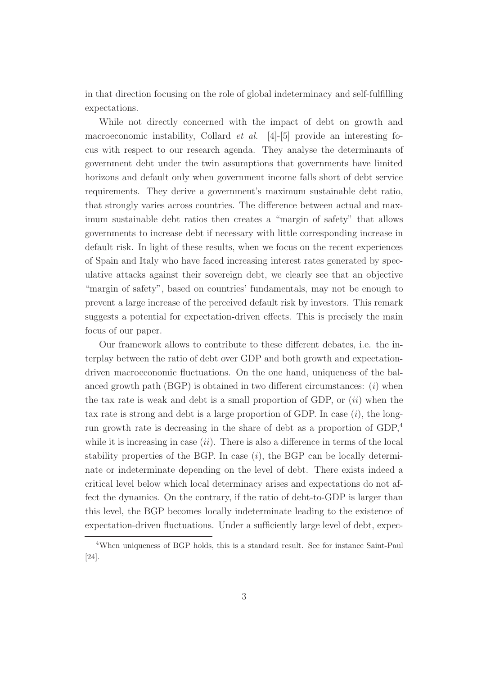in that direction focusing on the role of global indeterminacy and self-fulfilling expectations.

While not directly concerned with the impact of debt on growth and macroeconomic instability, Collard *et al.* [4]-[5] provide an interesting focus with respect to our research agenda. They analyse the determinants of government debt under the twin assumptions that governments have limited horizons and default only when government income falls short of debt service requirements. They derive a government's maximum sustainable debt ratio, that strongly varies across countries. The difference between actual and maximum sustainable debt ratios then creates a "margin of safety" that allows governments to increase debt if necessary with little corresponding increase in default risk. In light of these results, when we focus on the recent experiences of Spain and Italy who have faced increasing interest rates generated by speculative attacks against their sovereign debt, we clearly see that an objective "margin of safety", based on countries' fundamentals, may not be enough to prevent a large increase of the perceived default risk by investors. This remark suggests a potential for expectation-driven effects. This is precisely the main focus of our paper.

Our framework allows to contribute to these different debates, i.e. the interplay between the ratio of debt over GDP and both growth and expectationdriven macroeconomic fluctuations. On the one hand, uniqueness of the balanced growth path  $(BGP)$  is obtained in two different circumstances:  $(i)$  when the tax rate is weak and debt is a small proportion of GDP, or  $(ii)$  when the tax rate is strong and debt is a large proportion of GDP. In case  $(i)$ , the longrun growth rate is decreasing in the share of debt as a proportion of GDP,<sup>4</sup> while it is increasing in case  $(ii)$ . There is also a difference in terms of the local stability properties of the BGP. In case  $(i)$ , the BGP can be locally determinate or indeterminate depending on the level of debt. There exists indeed a critical level below which local determinacy arises and expectations do not affect the dynamics. On the contrary, if the ratio of debt-to-GDP is larger than this level, the BGP becomes locally indeterminate leading to the existence of expectation-driven fluctuations. Under a sufficiently large level of debt, expec-

<sup>4</sup>When uniqueness of BGP holds, this is a standard result. See for instance Saint-Paul [24].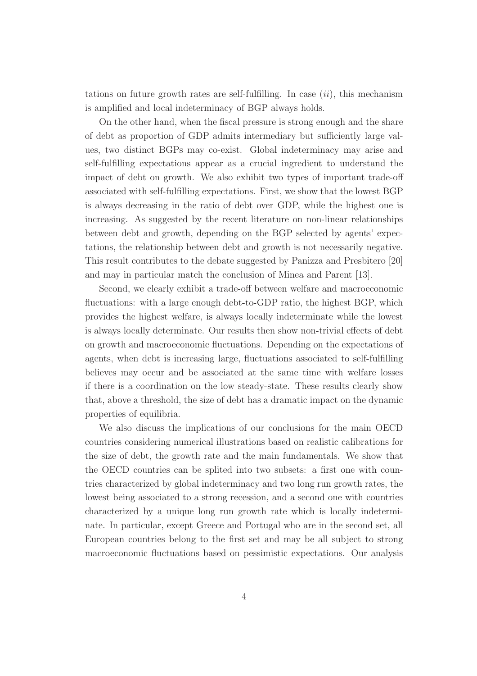tations on future growth rates are self-fulfilling. In case  $(ii)$ , this mechanism is amplified and local indeterminacy of BGP always holds.

On the other hand, when the fiscal pressure is strong enough and the share of debt as proportion of GDP admits intermediary but sufficiently large values, two distinct BGPs may co-exist. Global indeterminacy may arise and self-fulfilling expectations appear as a crucial ingredient to understand the impact of debt on growth. We also exhibit two types of important trade-off associated with self-fulfilling expectations. First, we show that the lowest BGP is always decreasing in the ratio of debt over GDP, while the highest one is increasing. As suggested by the recent literature on non-linear relationships between debt and growth, depending on the BGP selected by agents' expectations, the relationship between debt and growth is not necessarily negative. This result contributes to the debate suggested by Panizza and Presbitero [20] and may in particular match the conclusion of Minea and Parent [13].

Second, we clearly exhibit a trade-off between welfare and macroeconomic fluctuations: with a large enough debt-to-GDP ratio, the highest BGP, which provides the highest welfare, is always locally indeterminate while the lowest is always locally determinate. Our results then show non-trivial effects of debt on growth and macroeconomic fluctuations. Depending on the expectations of agents, when debt is increasing large, fluctuations associated to self-fulfilling believes may occur and be associated at the same time with welfare losses if there is a coordination on the low steady-state. These results clearly show that, above a threshold, the size of debt has a dramatic impact on the dynamic properties of equilibria.

We also discuss the implications of our conclusions for the main OECD countries considering numerical illustrations based on realistic calibrations for the size of debt, the growth rate and the main fundamentals. We show that the OECD countries can be splited into two subsets: a first one with countries characterized by global indeterminacy and two long run growth rates, the lowest being associated to a strong recession, and a second one with countries characterized by a unique long run growth rate which is locally indeterminate. In particular, except Greece and Portugal who are in the second set, all European countries belong to the first set and may be all subject to strong macroeconomic fluctuations based on pessimistic expectations. Our analysis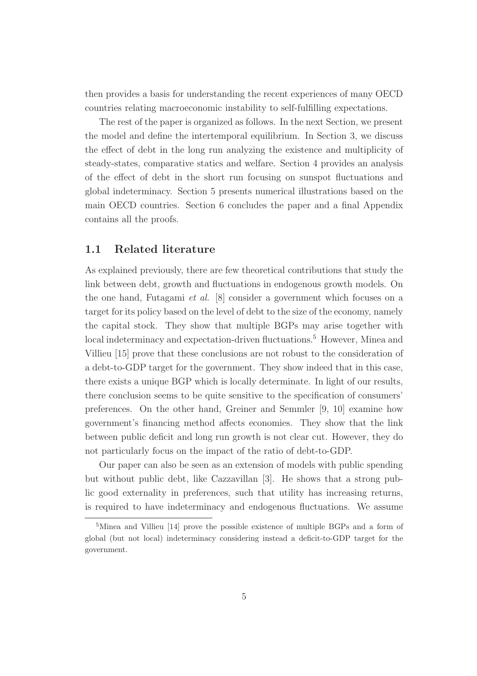then provides a basis for understanding the recent experiences of many OECD countries relating macroeconomic instability to self-fulfilling expectations.

The rest of the paper is organized as follows. In the next Section, we present the model and define the intertemporal equilibrium. In Section 3, we discuss the effect of debt in the long run analyzing the existence and multiplicity of steady-states, comparative statics and welfare. Section 4 provides an analysis of the effect of debt in the short run focusing on sunspot fluctuations and global indeterminacy. Section 5 presents numerical illustrations based on the main OECD countries. Section 6 concludes the paper and a final Appendix contains all the proofs.

#### 1.1 Related literature

As explained previously, there are few theoretical contributions that study the link between debt, growth and fluctuations in endogenous growth models. On the one hand, Futagami *et al.* [8] consider a government which focuses on a target for its policy based on the level of debt to the size of the economy, namely the capital stock. They show that multiple BGPs may arise together with local indeterminacy and expectation-driven fluctuations.<sup>5</sup> However, Minea and Villieu [15] prove that these conclusions are not robust to the consideration of a debt-to-GDP target for the government. They show indeed that in this case, there exists a unique BGP which is locally determinate. In light of our results, there conclusion seems to be quite sensitive to the specification of consumers' preferences. On the other hand, Greiner and Semmler [9, 10] examine how government's financing method affects economies. They show that the link between public deficit and long run growth is not clear cut. However, they do not particularly focus on the impact of the ratio of debt-to-GDP.

Our paper can also be seen as an extension of models with public spending but without public debt, like Cazzavillan [3]. He shows that a strong public good externality in preferences, such that utility has increasing returns, is required to have indeterminacy and endogenous fluctuations. We assume

<sup>&</sup>lt;sup>5</sup>Minea and Villieu [14] prove the possible existence of multiple BGPs and a form of global (but not local) indeterminacy considering instead a deficit-to-GDP target for the government.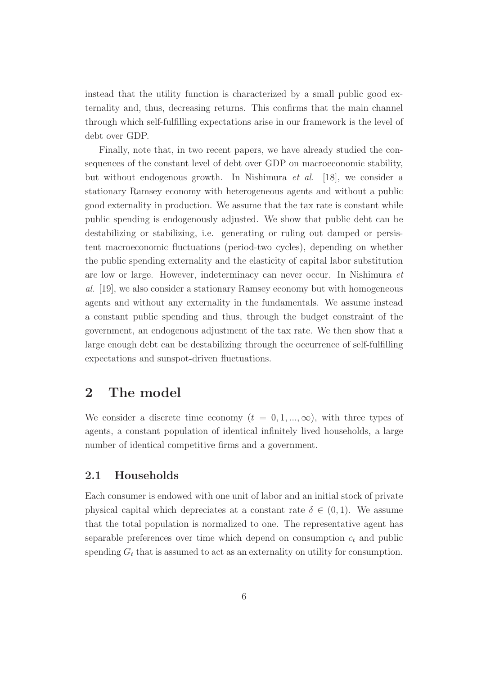instead that the utility function is characterized by a small public good externality and, thus, decreasing returns. This confirms that the main channel through which self-fulfilling expectations arise in our framework is the level of debt over GDP.

Finally, note that, in two recent papers, we have already studied the consequences of the constant level of debt over GDP on macroeconomic stability, but without endogenous growth. In Nishimura *et al.* [18], we consider a stationary Ramsey economy with heterogeneous agents and without a public good externality in production. We assume that the tax rate is constant while public spending is endogenously adjusted. We show that public debt can be destabilizing or stabilizing, i.e. generating or ruling out damped or persistent macroeconomic fluctuations (period-two cycles), depending on whether the public spending externality and the elasticity of capital labor substitution are low or large. However, indeterminacy can never occur. In Nishimura *et al.* [19], we also consider a stationary Ramsey economy but with homogeneous agents and without any externality in the fundamentals. We assume instead a constant public spending and thus, through the budget constraint of the government, an endogenous adjustment of the tax rate. We then show that a large enough debt can be destabilizing through the occurrence of self-fulfilling expectations and sunspot-driven fluctuations.

## 2 The model

We consider a discrete time economy  $(t = 0, 1, ..., \infty)$ , with three types of agents, a constant population of identical infinitely lived households, a large number of identical competitive firms and a government.

#### 2.1 Households

Each consumer is endowed with one unit of labor and an initial stock of private physical capital which depreciates at a constant rate  $\delta \in (0,1)$ . We assume that the total population is normalized to one. The representative agent has separable preferences over time which depend on consumption  $c_t$  and public spending  $G_t$  that is assumed to act as an externality on utility for consumption.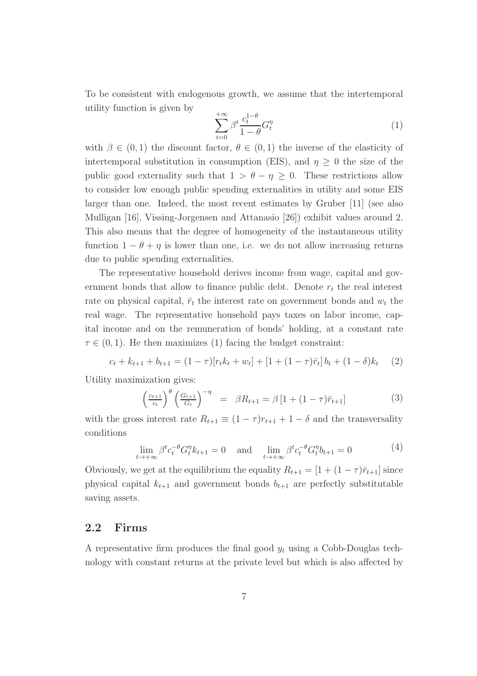To be consistent with endogenous growth, we assume that the intertemporal utility function is given by

$$
\sum_{t=0}^{+\infty} \beta^t \frac{c_t^{1-\theta}}{1-\theta} G_t^{\eta} \tag{1}
$$

with  $\beta \in (0,1)$  the discount factor,  $\theta \in (0,1)$  the inverse of the elasticity of intertemporal substitution in consumption (EIS), and  $\eta \geq 0$  the size of the public good externality such that  $1 > \theta - \eta \geq 0$ . These restrictions allow to consider low enough public spending externalities in utility and some EIS larger than one. Indeed, the most recent estimates by Gruber [11] (see also Mulligan [16], Vissing-Jorgensen and Attanasio [26]) exhibit values around 2. This also means that the degree of homogeneity of the instantaneous utility function  $1 - \theta + \eta$  is lower than one, i.e. we do not allow increasing returns due to public spending externalities.

The representative household derives income from wage, capital and government bonds that allow to finance public debt. Denote  $r_t$  the real interest rate on physical capital,  $\bar{r}_t$  the interest rate on government bonds and  $w_t$  the real wage. The representative household pays taxes on labor income, capital income and on the remuneration of bonds' holding, at a constant rate  $\tau \in (0, 1)$ . He then maximizes (1) facing the budget constraint:

$$
c_t + k_{t+1} + b_{t+1} = (1 - \tau)[r_t k_t + w_t] + [1 + (1 - \tau)\bar{r}_t]b_t + (1 - \delta)k_t \tag{2}
$$

Utility maximization gives:

$$
\left(\frac{c_{t+1}}{c_t}\right)^{\theta} \left(\frac{G_{t+1}}{G_t}\right)^{-\eta} = \beta R_{t+1} = \beta \left[1 + (1-\tau)\bar{r}_{t+1}\right] \tag{3}
$$

with the gross interest rate  $R_{t+1} \equiv (1 - \tau)r_{t+1} + 1 - \delta$  and the transversality conditions

$$
\lim_{t \to +\infty} \beta^t c_t^{-\theta} G_t^{\eta} k_{t+1} = 0 \quad \text{and} \quad \lim_{t \to +\infty} \beta^t c_t^{-\theta} G_t^{\eta} k_{t+1} = 0 \tag{4}
$$

Obviously, we get at the equilibrium the equality  $R_{t+1} = [1 + (1 - \tau)\bar{r}_{t+1}]$  since physical capital  $k_{t+1}$  and government bonds  $b_{t+1}$  are perfectly substitutable saving assets.

#### 2.2 Firms

A representative firm produces the final good  $y_t$  using a Cobb-Douglas technology with constant returns at the private level but which is also affected by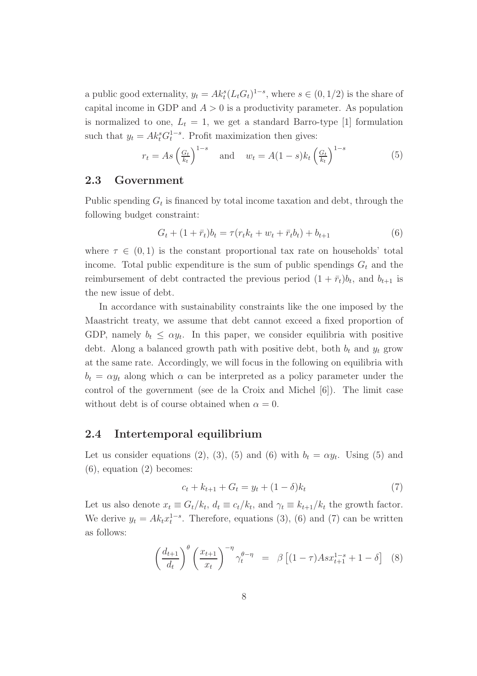a public good externality,  $y_t = Ak_t^s(L_tG_t)^{1-s}$ , where  $s \in (0, 1/2)$  is the share of capital income in GDP and  $A > 0$  is a productivity parameter. As population is normalized to one,  $L_t = 1$ , we get a standard Barro-type [1] formulation such that  $y_t = Ak_t^s G_t^{1-s}$ . Profit maximization then gives:

$$
r_t = As\left(\frac{G_t}{k_t}\right)^{1-s} \quad \text{and} \quad w_t = A(1-s)k_t\left(\frac{G_t}{k_t}\right)^{1-s} \tag{5}
$$

#### 2.3 Government

Public spending  $G_t$  is financed by total income taxation and debt, through the following budget constraint:

$$
G_t + (1 + \bar{r}_t)b_t = \tau(r_t k_t + w_t + \bar{r}_t b_t) + b_{t+1}
$$
\n(6)

where  $\tau \in (0,1)$  is the constant proportional tax rate on households' total income. Total public expenditure is the sum of public spendings  $G_t$  and the reimbursement of debt contracted the previous period  $(1 + \bar{r}_t) b_t$ , and  $b_{t+1}$  is the new issue of debt.

In accordance with sustainability constraints like the one imposed by the Maastricht treaty, we assume that debt cannot exceed a fixed proportion of GDP, namely  $b_t \leq \alpha y_t$ . In this paper, we consider equilibria with positive debt. Along a balanced growth path with positive debt, both  $b_t$  and  $y_t$  grow at the same rate. Accordingly, we will focus in the following on equilibria with  $b_t = \alpha y_t$  along which  $\alpha$  can be interpreted as a policy parameter under the control of the government (see de la Croix and Michel [6]). The limit case without debt is of course obtained when  $\alpha = 0$ .

#### 2.4 Intertemporal equilibrium

Let us consider equations (2), (3), (5) and (6) with  $b_t = \alpha y_t$ . Using (5) and (6), equation (2) becomes:

$$
c_t + k_{t+1} + G_t = y_t + (1 - \delta)k_t
$$
\n(7)

Let us also denote  $x_t \equiv G_t/k_t$ ,  $d_t \equiv c_t/k_t$ , and  $\gamma_t \equiv k_{t+1}/k_t$  the growth factor. We derive  $y_t = Ak_tx_t^{1-s}$ . Therefore, equations (3), (6) and (7) can be written as follows:

$$
\left(\frac{d_{t+1}}{d_t}\right)^{\theta} \left(\frac{x_{t+1}}{x_t}\right)^{-\eta} \gamma_t^{\theta-\eta} = \beta \left[ (1-\tau) A s x_{t+1}^{1-s} + 1 - \delta \right] \tag{8}
$$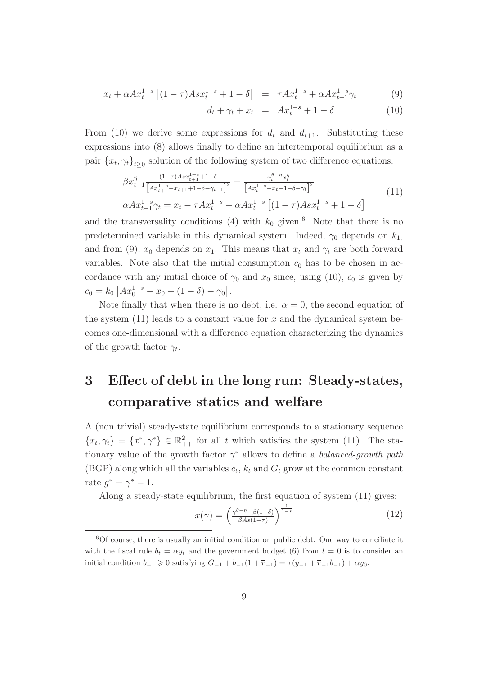$$
x_t + \alpha A x_t^{1-s} \left[ (1 - \tau) A s x_t^{1-s} + 1 - \delta \right] = \tau A x_t^{1-s} + \alpha A x_{t+1}^{1-s} \gamma_t \tag{9}
$$

$$
d_t + \gamma_t + x_t = Ax_t^{1-s} + 1 - \delta \tag{10}
$$

From (10) we derive some expressions for  $d_t$  and  $d_{t+1}$ . Substituting these expressions into (8) allows finally to define an intertemporal equilibrium as a pair  $\{x_t, \gamma_t\}_{t\geq 0}$  solution of the following system of two difference equations:

$$
\beta x_{t+1}^{\eta} \frac{(1-\tau)Asx_{t+1}^{1-s} + 1 - \delta}{\left[ Ax_{t+1}^{1-s} - x_{t+1} + 1 - \delta - \gamma_{t+1} \right]^{\theta}} = \frac{\gamma_t^{\theta - \eta} x_t^{\eta}}{\left[ Ax_t^{1-s} - x_t + 1 - \delta - \gamma_t \right]^{\theta}}
$$
\n
$$
\alpha Ax_{t+1}^{1-s} \gamma_t = x_t - \tau Ax_t^{1-s} + \alpha Ax_t^{1-s} \left[ (1-\tau)Asx_t^{1-s} + 1 - \delta \right]
$$
\n
$$
(11)
$$

and the transversality conditions (4) with  $k_0$  given.<sup>6</sup> Note that there is no predetermined variable in this dynamical system. Indeed,  $\gamma_0$  depends on  $k_1$ , and from (9),  $x_0$  depends on  $x_1$ . This means that  $x_t$  and  $\gamma_t$  are both forward variables. Note also that the initial consumption  $c_0$  has to be chosen in accordance with any initial choice of  $\gamma_0$  and  $x_0$  since, using (10),  $c_0$  is given by  $c_0 = k_0 \left[ Ax_0^{1-s} - x_0 + (1 - \delta) - \gamma_0 \right].$ 

Note finally that when there is no debt, i.e.  $\alpha = 0$ , the second equation of the system  $(11)$  leads to a constant value for x and the dynamical system becomes one-dimensional with a difference equation characterizing the dynamics of the growth factor  $\gamma_t$ .

## 3 Effect of debt in the long run: Steady-states, comparative statics and welfare

A (non trivial) steady-state equilibrium corresponds to a stationary sequence  ${x_t, \gamma_t} = {x^*, \gamma^*} \in \mathbb{R}_{++}^2$  for all t which satisfies the system (11). The stationary value of the growth factor  $\gamma^*$  allows to define a *balanced-growth path* (BGP) along which all the variables  $c_t$ ,  $k_t$  and  $G_t$  grow at the common constant rate  $g^* = \gamma^* - 1$ .

Along a steady-state equilibrium, the first equation of system (11) gives:

$$
x(\gamma) = \left(\frac{\gamma^{\theta - \eta} - \beta(1 - \delta)}{\beta As(1 - \tau)}\right)^{\frac{1}{1 - s}}\tag{12}
$$

<sup>6</sup>Of course, there is usually an initial condition on public debt. One way to conciliate it with the fiscal rule  $b_t = \alpha y_t$  and the government budget (6) from  $t = 0$  is to consider an initial condition  $b_{-1} \ge 0$  satisfying  $G_{-1} + b_{-1}(1 + \overline{r}_{-1}) = \tau(y_{-1} + \overline{r}_{-1}b_{-1}) + \alpha y_0$ .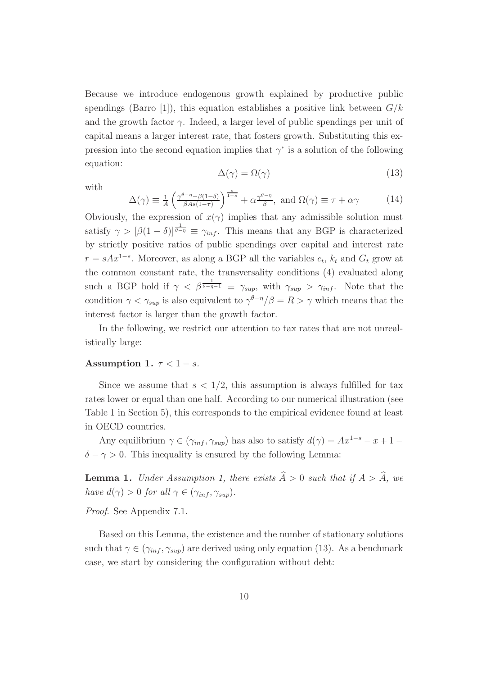Because we introduce endogenous growth explained by productive public spendings (Barro [1]), this equation establishes a positive link between  $G/k$ and the growth factor  $\gamma$ . Indeed, a larger level of public spendings per unit of capital means a larger interest rate, that fosters growth. Substituting this expression into the second equation implies that  $\gamma^*$  is a solution of the following equation:

$$
\Delta(\gamma) = \Omega(\gamma) \tag{13}
$$

with

$$
\Delta(\gamma) \equiv \frac{1}{A} \left( \frac{\gamma^{\theta - \eta} - \beta(1 - \delta)}{\beta A s (1 - \tau)} \right)^{\frac{s}{1 - s}} + \alpha \frac{\gamma^{\theta - \eta}}{\beta}, \text{ and } \Omega(\gamma) \equiv \tau + \alpha \gamma \tag{14}
$$

Obviously, the expression of  $x(\gamma)$  implies that any admissible solution must satisfy  $\gamma > [\beta(1-\delta)]^{\frac{1}{\theta-\eta}} \equiv \gamma_{inf}$ . This means that any BGP is characterized by strictly positive ratios of public spendings over capital and interest rate  $r = sAx^{1-s}$ . Moreover, as along a BGP all the variables  $c_t$ ,  $k_t$  and  $G_t$  grow at the common constant rate, the transversality conditions (4) evaluated along such a BGP hold if  $\gamma < \beta^{\frac{1}{\theta - \eta - 1}} \equiv \gamma_{sup}$ , with  $\gamma_{sup} > \gamma_{inf}$ . Note that the condition  $\gamma < \gamma_{sup}$  is also equivalent to  $\gamma^{\theta-\eta}/\beta = R > \gamma$  which means that the interest factor is larger than the growth factor.

In the following, we restrict our attention to tax rates that are not unrealistically large:

#### Assumption 1.  $\tau < 1 - s$ .

Since we assume that  $s < 1/2$ , this assumption is always fulfilled for tax rates lower or equal than one half. According to our numerical illustration (see Table 1 in Section 5), this corresponds to the empirical evidence found at least in OECD countries.

Any equilibrium  $\gamma \in (\gamma_{inf}, \gamma_{sup})$  has also to satisfy  $d(\gamma) = Ax^{1-s} - x + 1 \delta - \gamma > 0$ . This inequality is ensured by the following Lemma:

**Lemma 1.** *Under Assumption 1, there exists*  $\widehat{A} > 0$  *such that if*  $A > \widehat{A}$ *, we have*  $d(\gamma) > 0$  *for all*  $\gamma \in (\gamma_{inf}, \gamma_{sup})$ *.* 

*Proof*. See Appendix 7.1.

Based on this Lemma, the existence and the number of stationary solutions such that  $\gamma \in (\gamma_{inf}, \gamma_{sup})$  are derived using only equation (13). As a benchmark case, we start by considering the configuration without debt: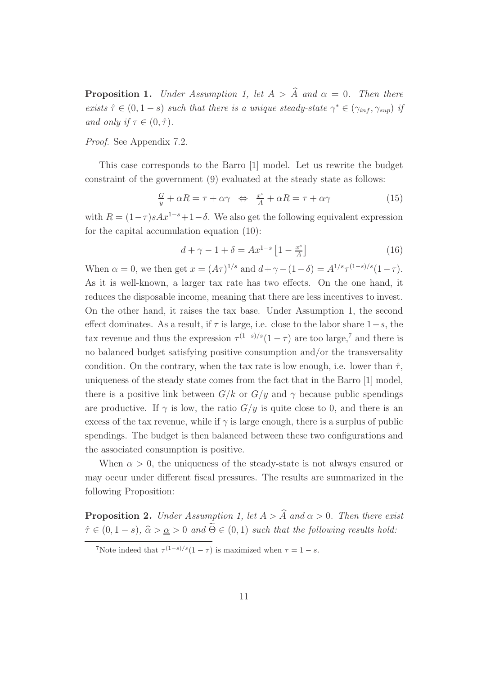**Proposition 1.** *Under Assumption 1, let*  $A > \hat{A}$  *and*  $\alpha = 0$ *. Then there exists*  $\hat{\tau} \in (0, 1-s)$  *such that there is a unique steady-state*  $\gamma^* \in (\gamma_{inf}, \gamma_{sup})$  *if and only if*  $\tau \in (0, \hat{\tau})$ *.* 

*Proof*. See Appendix 7.2.

This case corresponds to the Barro [1] model. Let us rewrite the budget constraint of the government (9) evaluated at the steady state as follows:

$$
\frac{G}{y} + \alpha R = \tau + \alpha \gamma \iff \frac{x^s}{A} + \alpha R = \tau + \alpha \gamma \tag{15}
$$

with  $R = (1-\tau)sAx^{1-s}+1-\delta$ . We also get the following equivalent expression for the capital accumulation equation (10):

$$
d + \gamma - 1 + \delta = Ax^{1-s} \left[ 1 - \frac{x^s}{A} \right] \tag{16}
$$

When  $\alpha = 0$ , we then get  $x = (A\tau)^{1/s}$  and  $d + \gamma - (1 - \delta) = A^{1/s} \tau^{(1-s)/s} (1 - \tau)$ . As it is well-known, a larger tax rate has two effects. On the one hand, it reduces the disposable income, meaning that there are less incentives to invest. On the other hand, it raises the tax base. Under Assumption 1, the second effect dominates. As a result, if  $\tau$  is large, i.e. close to the labor share  $1-s$ , the tax revenue and thus the expression  $\tau^{(1-s)/s}(1-\tau)$  are too large,<sup>7</sup> and there is no balanced budget satisfying positive consumption and/or the transversality condition. On the contrary, when the tax rate is low enough, i.e. lower than  $\hat{\tau}$ , uniqueness of the steady state comes from the fact that in the Barro [1] model, there is a positive link between  $G/k$  or  $G/y$  and  $\gamma$  because public spendings are productive. If  $\gamma$  is low, the ratio  $G/y$  is quite close to 0, and there is an excess of the tax revenue, while if  $\gamma$  is large enough, there is a surplus of public spendings. The budget is then balanced between these two configurations and the associated consumption is positive.

When  $\alpha > 0$ , the uniqueness of the steady-state is not always ensured or may occur under different fiscal pressures. The results are summarized in the following Proposition:

**Proposition 2.** *Under Assumption 1, let*  $A > \hat{A}$  *and*  $\alpha > 0$ *. Then there exist*  $\hat{\tau} \in (0, 1-s), \ \hat{\alpha} > \underline{\alpha} > 0 \ \text{and} \ \tilde{\Theta} \in (0, 1) \ \text{such that the following results hold:}$ 

<sup>&</sup>lt;sup>7</sup>Note indeed that  $\tau^{(1-s)/s}(1-\tau)$  is maximized when  $\tau = 1-s$ .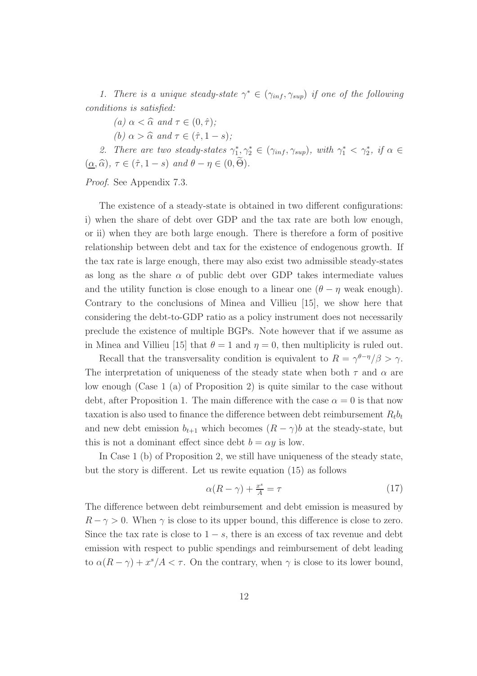*1. There is a unique steady-state*  $\gamma^* \in (\gamma_{inf}, \gamma_{sup})$  *if one of the following conditions is satisfied:*

*(a)*  $\alpha < \widehat{\alpha}$  *and*  $\tau \in (0, \widehat{\tau})$ *;* 

*(b)*  $\alpha > \widehat{\alpha}$  and  $\tau \in (\widehat{\tau}, 1-s)$ ;

2. There are two steady-states  $\gamma_1^*, \gamma_2^* \in (\gamma_{inf}, \gamma_{sup})$ , with  $\gamma_1^* < \gamma_2^*$ , if  $\alpha \in$  $(\underline{\alpha}, \widehat{\alpha})$ ,  $\tau \in (\widehat{\tau}, 1-s)$  *and*  $\theta - \eta \in (0, \widehat{\Theta})$ *.* 

*Proof*. See Appendix 7.3.

The existence of a steady-state is obtained in two different configurations: i) when the share of debt over GDP and the tax rate are both low enough, or ii) when they are both large enough. There is therefore a form of positive relationship between debt and tax for the existence of endogenous growth. If the tax rate is large enough, there may also exist two admissible steady-states as long as the share  $\alpha$  of public debt over GDP takes intermediate values and the utility function is close enough to a linear one  $(\theta - \eta$  weak enough). Contrary to the conclusions of Minea and Villieu [15], we show here that considering the debt-to-GDP ratio as a policy instrument does not necessarily preclude the existence of multiple BGPs. Note however that if we assume as in Minea and Villieu [15] that  $\theta = 1$  and  $\eta = 0$ , then multiplicity is ruled out.

Recall that the transversality condition is equivalent to  $R = \gamma^{\theta-\eta}/\beta > \gamma$ . The interpretation of uniqueness of the steady state when both  $\tau$  and  $\alpha$  are low enough (Case 1 (a) of Proposition 2) is quite similar to the case without debt, after Proposition 1. The main difference with the case  $\alpha = 0$  is that now taxation is also used to finance the difference between debt reimbursement  $R_t b_t$ and new debt emission  $b_{t+1}$  which becomes  $(R - \gamma)b$  at the steady-state, but this is not a dominant effect since debt  $b = \alpha y$  is low.

In Case 1 (b) of Proposition 2, we still have uniqueness of the steady state, but the story is different. Let us rewite equation (15) as follows

$$
\alpha(R-\gamma) + \frac{x^s}{A} = \tau \tag{17}
$$

The difference between debt reimbursement and debt emission is measured by  $R - \gamma > 0$ . When  $\gamma$  is close to its upper bound, this difference is close to zero. Since the tax rate is close to  $1 - s$ , there is an excess of tax revenue and debt emission with respect to public spendings and reimbursement of debt leading to  $\alpha(R-\gamma) + x^s/A < \tau$ . On the contrary, when  $\gamma$  is close to its lower bound,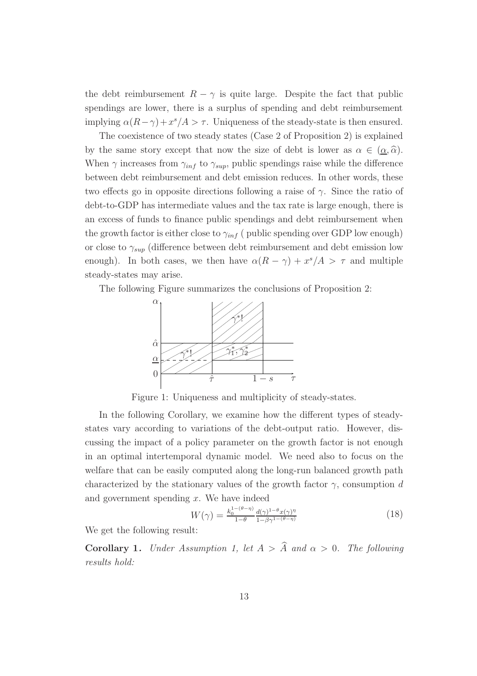the debt reimbursement  $R - \gamma$  is quite large. Despite the fact that public spendings are lower, there is a surplus of spending and debt reimbursement implying  $\alpha(R-\gamma)+x^s/A > \tau$ . Uniqueness of the steady-state is then ensured.

The coexistence of two steady states (Case 2 of Proposition 2) is explained by the same story except that now the size of debt is lower as  $\alpha \in (\alpha, \hat{\alpha})$ . When  $\gamma$  increases from  $\gamma_{inf}$  to  $\gamma_{sup}$ , public spendings raise while the difference between debt reimbursement and debt emission reduces. In other words, these two effects go in opposite directions following a raise of  $\gamma$ . Since the ratio of debt-to-GDP has intermediate values and the tax rate is large enough, there is an excess of funds to finance public spendings and debt reimbursement when the growth factor is either close to  $\gamma_{inf}$  ( public spending over GDP low enough) or close to  $\gamma_{sup}$  (difference between debt reimbursement and debt emission low enough). In both cases, we then have  $\alpha(R-\gamma) + x^s/A > \tau$  and multiple steady-states may arise.

The following Figure summarizes the conclusions of Proposition 2:



Figure 1: Uniqueness and multiplicity of steady-states.

In the following Corollary, we examine how the different types of steadystates vary according to variations of the debt-output ratio. However, discussing the impact of a policy parameter on the growth factor is not enough in an optimal intertemporal dynamic model. We need also to focus on the welfare that can be easily computed along the long-run balanced growth path characterized by the stationary values of the growth factor  $\gamma$ , consumption d and government spending  $x$ . We have indeed

$$
W(\gamma) = \frac{k_0^{1-(\theta-\eta)}}{1-\theta} \frac{d(\gamma)^{1-\theta} x(\gamma)^{\eta}}{1-\beta \gamma^{1-(\theta-\eta)}}
$$
(18)

We get the following result:

**Corollary 1.** *Under Assumption 1, let*  $A > \hat{A}$  *and*  $\alpha > 0$ *. The following results hold:*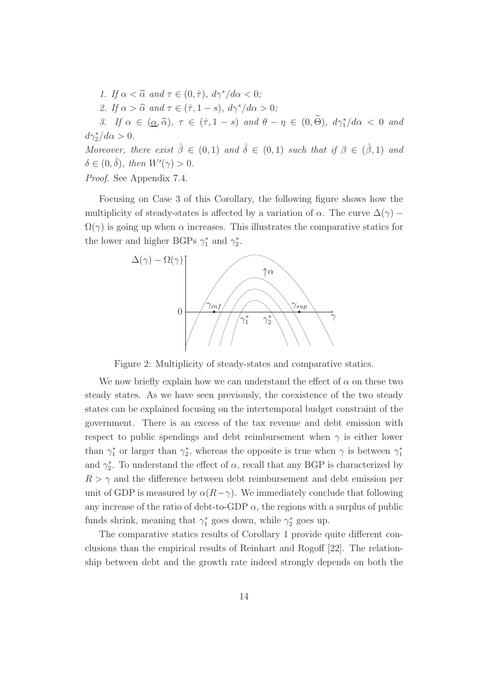*1.* If  $\alpha < \widehat{\alpha}$  and  $\tau \in (0, \widehat{\tau})$ ,  $d\gamma^* / d\alpha < 0$ ; *2.* If  $\alpha > \widehat{\alpha}$  and  $\tau \in (\widehat{\tau}, 1-s)$ ,  $d\gamma^* / d\alpha > 0$ ; *3.* If  $\alpha \in (\underline{\alpha}, \widehat{\alpha})$ ,  $\tau \in (\widehat{\tau}, 1-s)$  and  $\theta - \eta \in (0, \Theta)$ ,  $d\gamma_1^* / d\alpha < 0$  and  $d\gamma_2^*/d\alpha > 0.$ *Moreover, there exist*  $\hat{\beta} \in (0,1)$  *and*  $\hat{\delta} \in (0,1)$  *such that if*  $\beta \in (\hat{\beta},1)$  *and*  $\delta \in (0, \hat{\delta}), \text{ then } W'(\gamma) > 0.$ *Proof*. See Appendix 7.4.

Focusing on Case 3 of this Corollary, the following figure shows how the multiplicity of steady-states is affected by a variation of  $\alpha$ . The curve  $\Delta(\gamma)$  –  $\Omega(\gamma)$  is going up when  $\alpha$  increases. This illustrates the comparative statics for the lower and higher BGPs  $\gamma_1^*$  and  $\gamma_2^*$ .



Figure 2: Multiplicity of steady-states and comparative statics.

We now briefly explain how we can understand the effect of  $\alpha$  on these two steady states. As we have seen previously, the coexistence of the two steady states can be explained focusing on the intertemporal budget constraint of the government. There is an excess of the tax revenue and debt emission with respect to public spendings and debt reimbursement when  $\gamma$  is either lower than  $\gamma_1^*$  or larger than  $\gamma_2^*$ , whereas the opposite is true when  $\gamma$  is between  $\gamma_1^*$ and  $\gamma_2^*$ . To understand the effect of  $\alpha$ , recall that any BGP is characterized by  $R > \gamma$  and the difference between debt reimbursement and debt emission per unit of GDP is measured by  $\alpha(R-\gamma)$ . We immediately conclude that following any increase of the ratio of debt-to-GDP  $\alpha$ , the regions with a surplus of public funds shrink, meaning that  $\gamma_1^*$  goes down, while  $\gamma_2^*$  goes up.

The comparative statics results of Corollary 1 provide quite different conclusions than the empirical results of Reinhart and Rogoff [22]. The relationship between debt and the growth rate indeed strongly depends on both the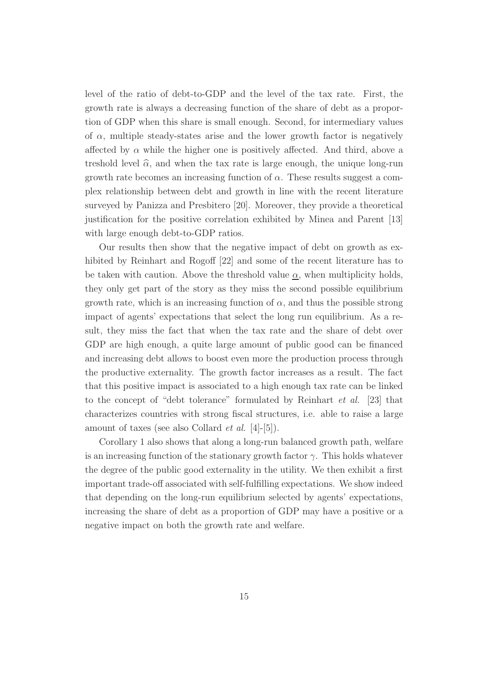level of the ratio of debt-to-GDP and the level of the tax rate. First, the growth rate is always a decreasing function of the share of debt as a proportion of GDP when this share is small enough. Second, for intermediary values of  $\alpha$ , multiple steady-states arise and the lower growth factor is negatively affected by  $\alpha$  while the higher one is positively affected. And third, above a treshold level  $\hat{\alpha}$ , and when the tax rate is large enough, the unique long-run growth rate becomes an increasing function of  $\alpha$ . These results suggest a complex relationship between debt and growth in line with the recent literature surveyed by Panizza and Presbitero [20]. Moreover, they provide a theoretical justification for the positive correlation exhibited by Minea and Parent [13] with large enough debt-to-GDP ratios.

Our results then show that the negative impact of debt on growth as exhibited by Reinhart and Rogoff [22] and some of the recent literature has to be taken with caution. Above the threshold value  $\alpha$ , when multiplicity holds, they only get part of the story as they miss the second possible equilibrium growth rate, which is an increasing function of  $\alpha$ , and thus the possible strong impact of agents' expectations that select the long run equilibrium. As a result, they miss the fact that when the tax rate and the share of debt over GDP are high enough, a quite large amount of public good can be financed and increasing debt allows to boost even more the production process through the productive externality. The growth factor increases as a result. The fact that this positive impact is associated to a high enough tax rate can be linked to the concept of "debt tolerance" formulated by Reinhart *et al.* [23] that characterizes countries with strong fiscal structures, i.e. able to raise a large amount of taxes (see also Collard *et al.* [4]-[5]).

Corollary 1 also shows that along a long-run balanced growth path, welfare is an increasing function of the stationary growth factor  $\gamma$ . This holds whatever the degree of the public good externality in the utility. We then exhibit a first important trade-off associated with self-fulfilling expectations. We show indeed that depending on the long-run equilibrium selected by agents' expectations, increasing the share of debt as a proportion of GDP may have a positive or a negative impact on both the growth rate and welfare.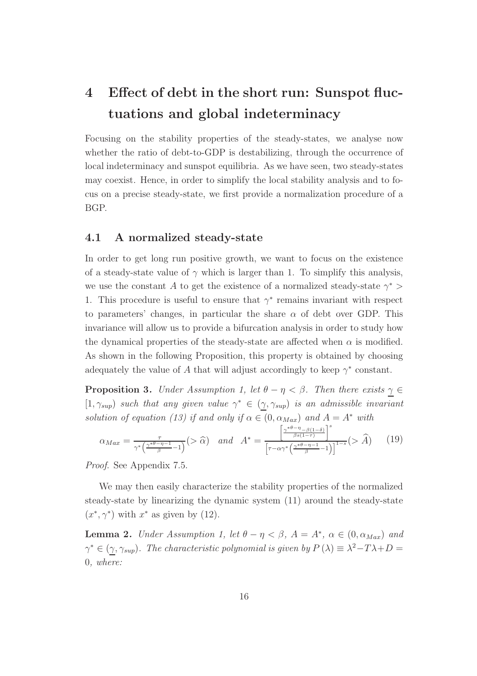## 4 Effect of debt in the short run: Sunspot fluctuations and global indeterminacy

Focusing on the stability properties of the steady-states, we analyse now whether the ratio of debt-to-GDP is destabilizing, through the occurrence of local indeterminacy and sunspot equilibria. As we have seen, two steady-states may coexist. Hence, in order to simplify the local stability analysis and to focus on a precise steady-state, we first provide a normalization procedure of a BGP.

#### 4.1 A normalized steady-state

In order to get long run positive growth, we want to focus on the existence of a steady-state value of  $\gamma$  which is larger than 1. To simplify this analysis, we use the constant A to get the existence of a normalized steady-state  $\gamma^*$  > 1. This procedure is useful to ensure that  $\gamma^*$  remains invariant with respect to parameters' changes, in particular the share  $\alpha$  of debt over GDP. This invariance will allow us to provide a bifurcation analysis in order to study how the dynamical properties of the steady-state are affected when  $\alpha$  is modified. As shown in the following Proposition, this property is obtained by choosing adequately the value of A that will adjust accordingly to keep  $\gamma^*$  constant.

**Proposition 3.** *Under Assumption 1, let*  $\theta - \eta < \beta$ *. Then there exists*  $\gamma \in$  $[1, \gamma_{sup})$  *such that any given value*  $\gamma^* \in (\gamma, \gamma_{sup})$  *is an admissible invariant solution of equation (13) if and only if*  $\alpha \in (0, \alpha_{Max})$  *and*  $A = A^*$  *with* 

$$
\alpha_{Max} = \frac{\tau}{\gamma^* \left(\frac{\gamma^{*\theta - \eta - 1}}{\beta} - 1\right)} \left(>\widehat{\alpha}\right) \quad and \quad A^* = \frac{\left[\frac{\gamma^{*\theta - \eta} - \beta(1 - \delta)}{\beta s(1 - \tau)}\right]^s}{\left[\tau - \alpha\gamma^* \left(\frac{\gamma^{*\theta - \eta} - 1}{\beta} - 1\right)\right]^{1 - s}}\left(>\widehat{A}\right) \tag{19}
$$

*Proof*. See Appendix 7.5.

We may then easily characterize the stability properties of the normalized steady-state by linearizing the dynamic system (11) around the steady-state  $(x^*, \gamma^*)$  with  $x^*$  as given by (12).

**Lemma 2.** *Under Assumption 1, let*  $\theta - \eta < \beta$ ,  $A = A^*$ ,  $\alpha \in (0, \alpha_{Max})$  *and*  $\gamma^* \in (\gamma, \gamma_{\sup})$ . The characteristic polynomial is given by  $P(\lambda) \equiv \lambda^2 - T\lambda + D =$ 0*, where:*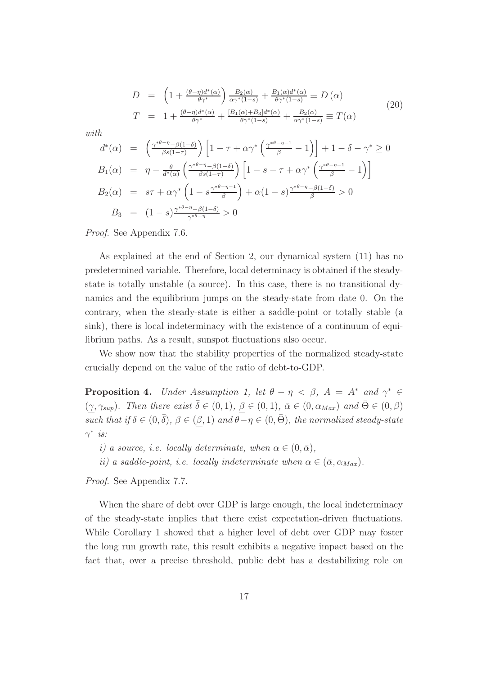$$
D = \left(1 + \frac{(\theta - \eta)d^*(\alpha)}{\theta \gamma^*}\right) \frac{B_2(\alpha)}{\alpha \gamma^*(1-s)} + \frac{B_1(\alpha)d^*(\alpha)}{\theta \gamma^*(1-s)} \equiv D(\alpha)
$$
  
\n
$$
T = 1 + \frac{(\theta - \eta)d^*(\alpha)}{\theta \gamma^*} + \frac{[B_1(\alpha) + B_3]d^*(\alpha)}{\theta \gamma^*(1-s)} + \frac{B_2(\alpha)}{\alpha \gamma^*(1-s)} \equiv T(\alpha)
$$
\n(20)

*with*

$$
d^*(\alpha) = \left(\frac{\gamma^{*\theta-\eta} - \beta(1-\delta)}{\beta s(1-\tau)}\right) \left[1 - \tau + \alpha \gamma^* \left(\frac{\gamma^{*\theta-\eta-1}}{\beta} - 1\right)\right] + 1 - \delta - \gamma^* \ge 0
$$
  
\n
$$
B_1(\alpha) = \eta - \frac{\theta}{d^*(\alpha)} \left(\frac{\gamma^{*\theta-\eta} - \beta(1-\delta)}{\beta s(1-\tau)}\right) \left[1 - s - \tau + \alpha \gamma^* \left(\frac{\gamma^{*\theta-\eta-1}}{\beta} - 1\right)\right]
$$
  
\n
$$
B_2(\alpha) = s\tau + \alpha \gamma^* \left(1 - s\frac{\gamma^{*\theta-\eta-1}}{\beta}\right) + \alpha(1-s)\frac{\gamma^{*\theta-\eta} - \beta(1-\delta)}{\beta} > 0
$$
  
\n
$$
B_3 = (1-s)\frac{\gamma^{*\theta-\eta} - \beta(1-\delta)}{\gamma^{*\theta-\eta}} > 0
$$

*Proof*. See Appendix 7.6.

As explained at the end of Section 2, our dynamical system (11) has no predetermined variable. Therefore, local determinacy is obtained if the steadystate is totally unstable (a source). In this case, there is no transitional dynamics and the equilibrium jumps on the steady-state from date 0. On the contrary, when the steady-state is either a saddle-point or totally stable (a sink), there is local indeterminacy with the existence of a continuum of equilibrium paths. As a result, sunspot fluctuations also occur.

We show now that the stability properties of the normalized steady-state crucially depend on the value of the ratio of debt-to-GDP.

**Proposition 4.** *Under Assumption 1, let*  $\theta - \eta < \beta$ ,  $A = A^*$  *and*  $\gamma^* \in$  $(\gamma, \gamma_{sup})$ *. Then there exist*  $\overline{\delta} \in (0, 1)$ *,*  $\underline{\beta} \in (0, 1)$ *,*  $\overline{\alpha} \in (0, \alpha_{Max})$  *and*  $\overline{\Theta} \in (0, \beta)$ such that if  $\delta \in (0, \bar{\delta}), \beta \in (\beta, 1)$  and  $\theta - \eta \in (0, \bar{\Theta}),$  the normalized steady-state γ ∗ *is:*

- *i)* a source, *i.e.* locally determinate, when  $\alpha \in (0, \bar{\alpha})$ ,
- *ii)* a saddle-point, *i.e.* locally indeterminate when  $\alpha \in (\bar{\alpha}, \alpha_{Max})$ .

*Proof*. See Appendix 7.7.

When the share of debt over GDP is large enough, the local indeterminacy of the steady-state implies that there exist expectation-driven fluctuations. While Corollary 1 showed that a higher level of debt over GDP may foster the long run growth rate, this result exhibits a negative impact based on the fact that, over a precise threshold, public debt has a destabilizing role on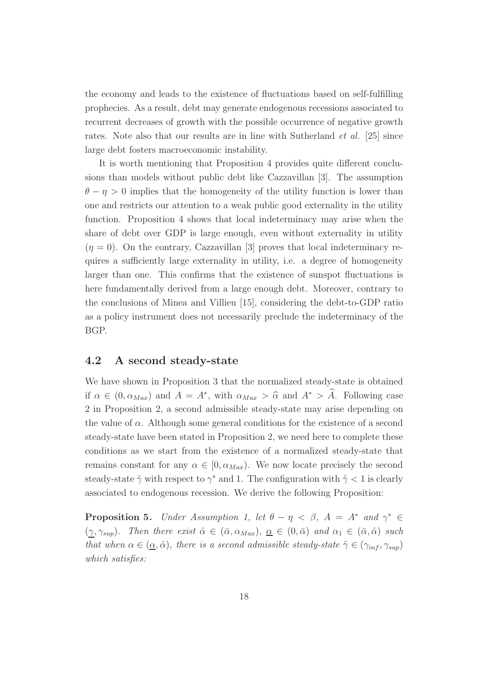the economy and leads to the existence of fluctuations based on self-fulfilling prophecies. As a result, debt may generate endogenous recessions associated to recurrent decreases of growth with the possible occurrence of negative growth rates. Note also that our results are in line with Sutherland *et al.* [25] since large debt fosters macroeconomic instability.

It is worth mentioning that Proposition 4 provides quite different conclusions than models without public debt like Cazzavillan [3]. The assumption  $\theta - \eta > 0$  implies that the homogeneity of the utility function is lower than one and restricts our attention to a weak public good externality in the utility function. Proposition 4 shows that local indeterminacy may arise when the share of debt over GDP is large enough, even without externality in utility  $(\eta = 0)$ . On the contrary, Cazzavillan [3] proves that local indeterminacy requires a sufficiently large externality in utility, i.e. a degree of homogeneity larger than one. This confirms that the existence of sunspot fluctuations is here fundamentally derived from a large enough debt. Moreover, contrary to the conclusions of Minea and Villieu [15], considering the debt-to-GDP ratio as a policy instrument does not necessarily preclude the indeterminacy of the BGP.

#### 4.2 A second steady-state

We have shown in Proposition 3 that the normalized steady-state is obtained if  $\alpha \in (0, \alpha_{Max})$  and  $A = A^*$ , with  $\alpha_{Max} > \hat{\alpha}$  and  $A^* > \hat{A}$ . Following case 2 in Proposition 2, a second admissible steady-state may arise depending on the value of  $\alpha$ . Although some general conditions for the existence of a second steady-state have been stated in Proposition 2, we need here to complete these conditions as we start from the existence of a normalized steady-state that remains constant for any  $\alpha \in [0, \alpha_{Max})$ . We now locate precisely the second steady-state  $\tilde{\gamma}$  with respect to  $\gamma^*$  and 1. The configuration with  $\tilde{\gamma} < 1$  is clearly associated to endogenous recession. We derive the following Proposition:

**Proposition 5.** *Under Assumption 1, let*  $\theta - \eta < \beta$ ,  $A = A^*$  *and*  $\gamma^* \in$  $(\gamma, \gamma_{\text{sup}})$ *.* Then there exist  $\hat{\alpha} \in (\bar{\alpha}, \alpha_{\text{Max}}), \underline{\alpha} \in (0, \bar{\alpha})$  and  $\alpha_1 \in (\bar{\alpha}, \hat{\alpha})$  such *that when*  $\alpha \in (\underline{\alpha}, \hat{\alpha})$ *, there is a second admissible steady-state*  $\tilde{\gamma} \in (\gamma_{inf}, \gamma_{sup})$ *which satisfies:*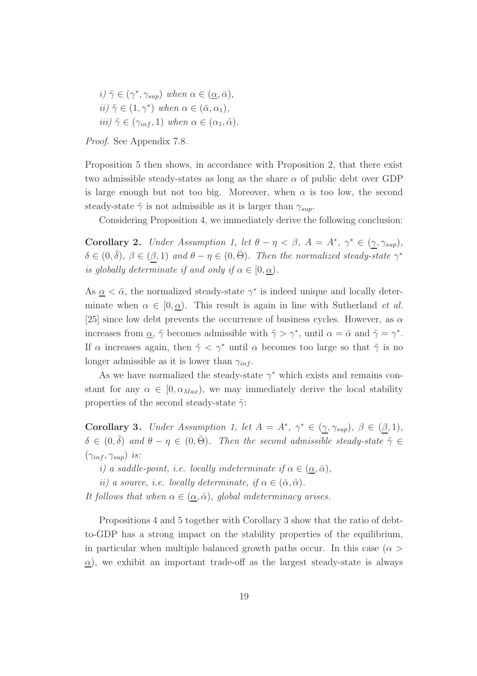$i) \tilde{\gamma} \in (\gamma^*, \gamma_{sup})$  when  $\alpha \in (\underline{\alpha}, \bar{\alpha}),$  $ii) \tilde{\gamma} \in (1, \gamma^*)$  when  $\alpha \in (\bar{\alpha}, \alpha_1)$ , *iii*)  $\tilde{\gamma} \in (\gamma_{inf}, 1)$  *when*  $\alpha \in (\alpha_1, \hat{\alpha})$ *.* 

Proposition 5 then shows, in accordance with Proposition 2, that there exist two admissible steady-states as long as the share  $\alpha$  of public debt over GDP is large enough but not too big. Moreover, when  $\alpha$  is too low, the second steady-state  $\tilde{\gamma}$  is not admissible as it is larger than  $\gamma_{sun}$ .

Considering Proposition 4, we immediately derive the following conclusion:

**Corollary 2.** *Under Assumption 1, let*  $\theta - \eta < \beta$ ,  $A = A^*$ ,  $\gamma^* \in (\gamma, \gamma_{sup})$ ,  $\delta \in (0, \bar{\delta}), \ \beta \in (\beta, 1) \ and \ \theta - \eta \in (0, \bar{\Theta}).$  Then the normalized steady-state  $\gamma^*$ *is globally determinate if and only if*  $\alpha \in [0, \alpha)$ *.* 

As  $\alpha < \bar{\alpha}$ , the normalized steady-state  $\gamma^*$  is indeed unique and locally determinate when  $\alpha \in [0, \alpha)$ . This result is again in line with Sutherland *et al.* [25] since low debt prevents the occurrence of business cycles. However, as  $\alpha$ increases from  $\underline{\alpha}$ ,  $\tilde{\gamma}$  becomes admissible with  $\tilde{\gamma} > \gamma^*$ , until  $\alpha = \bar{\alpha}$  and  $\tilde{\gamma} = \gamma^*$ . If  $\alpha$  increases again, then  $\tilde{\gamma} < \gamma^*$  until  $\alpha$  becomes too large so that  $\tilde{\gamma}$  is no longer admissible as it is lower than  $\gamma_{inf}$ .

As we have normalized the steady-state  $\gamma^*$  which exists and remains constant for any  $\alpha \in [0, \alpha_{Max})$ , we may immediately derive the local stability properties of the second steady-state  $\tilde{\gamma}$ :

**Corollary 3.** *Under Assumption 1, let*  $A = A^*$ ,  $\gamma^* \in (\gamma, \gamma_{sup})$ ,  $\beta \in (\beta, 1)$ ,  $\delta \in (0,\bar{\delta})$  and  $\theta - \eta \in (0,\bar{\Theta})$ . Then the second admissible steady-state  $\tilde{\gamma} \in$  $(\gamma_{inf}, \gamma_{sup})$  *is:* 

- *i)* a saddle-point, i.e. locally indeterminate if  $\alpha \in (\alpha, \bar{\alpha})$ ,
- *ii)* a source, *i.e.* locally determinate, if  $\alpha \in (\bar{\alpha}, \hat{\alpha})$ .

*It follows that when*  $\alpha \in (\alpha, \hat{\alpha})$ *, global indeterminacy arises.* 

Propositions 4 and 5 together with Corollary 3 show that the ratio of debtto-GDP has a strong impact on the stability properties of the equilibrium, in particular when multiple balanced growth paths occur. In this case ( $\alpha >$  $\alpha$ ), we exhibit an important trade-off as the largest steady-state is always

*Proof*. See Appendix 7.8.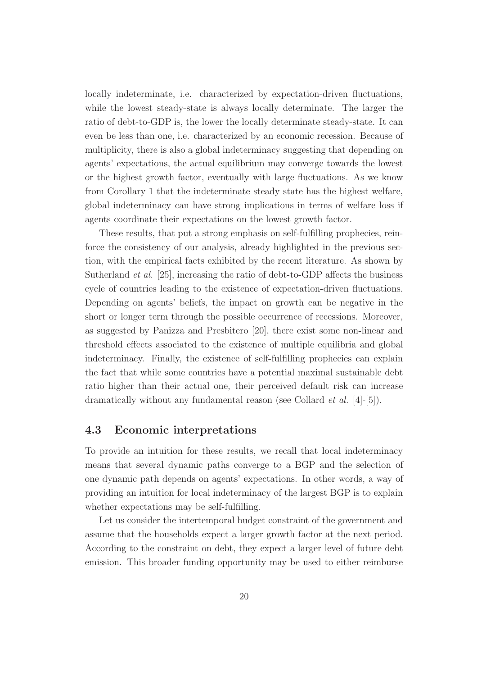locally indeterminate, i.e. characterized by expectation-driven fluctuations, while the lowest steady-state is always locally determinate. The larger the ratio of debt-to-GDP is, the lower the locally determinate steady-state. It can even be less than one, i.e. characterized by an economic recession. Because of multiplicity, there is also a global indeterminacy suggesting that depending on agents' expectations, the actual equilibrium may converge towards the lowest or the highest growth factor, eventually with large fluctuations. As we know from Corollary 1 that the indeterminate steady state has the highest welfare, global indeterminacy can have strong implications in terms of welfare loss if agents coordinate their expectations on the lowest growth factor.

These results, that put a strong emphasis on self-fulfilling prophecies, reinforce the consistency of our analysis, already highlighted in the previous section, with the empirical facts exhibited by the recent literature. As shown by Sutherland *et al.* [25], increasing the ratio of debt-to-GDP affects the business cycle of countries leading to the existence of expectation-driven fluctuations. Depending on agents' beliefs, the impact on growth can be negative in the short or longer term through the possible occurrence of recessions. Moreover, as suggested by Panizza and Presbitero [20], there exist some non-linear and threshold effects associated to the existence of multiple equilibria and global indeterminacy. Finally, the existence of self-fulfilling prophecies can explain the fact that while some countries have a potential maximal sustainable debt ratio higher than their actual one, their perceived default risk can increase dramatically without any fundamental reason (see Collard *et al.* [4]-[5]).

#### 4.3 Economic interpretations

To provide an intuition for these results, we recall that local indeterminacy means that several dynamic paths converge to a BGP and the selection of one dynamic path depends on agents' expectations. In other words, a way of providing an intuition for local indeterminacy of the largest BGP is to explain whether expectations may be self-fulfilling.

Let us consider the intertemporal budget constraint of the government and assume that the households expect a larger growth factor at the next period. According to the constraint on debt, they expect a larger level of future debt emission. This broader funding opportunity may be used to either reimburse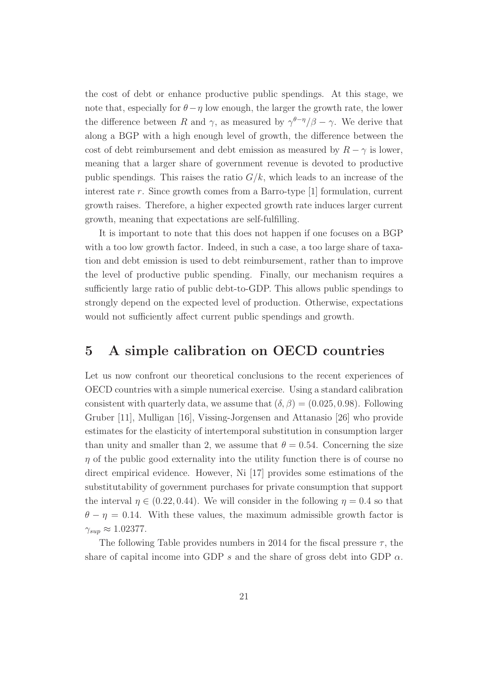the cost of debt or enhance productive public spendings. At this stage, we note that, especially for  $\theta - \eta$  low enough, the larger the growth rate, the lower the difference between R and  $\gamma$ , as measured by  $\gamma^{\theta-\eta}/\beta - \gamma$ . We derive that along a BGP with a high enough level of growth, the difference between the cost of debt reimbursement and debt emission as measured by  $R - \gamma$  is lower, meaning that a larger share of government revenue is devoted to productive public spendings. This raises the ratio  $G/k$ , which leads to an increase of the interest rate r. Since growth comes from a Barro-type [1] formulation, current growth raises. Therefore, a higher expected growth rate induces larger current growth, meaning that expectations are self-fulfilling.

It is important to note that this does not happen if one focuses on a BGP with a too low growth factor. Indeed, in such a case, a too large share of taxation and debt emission is used to debt reimbursement, rather than to improve the level of productive public spending. Finally, our mechanism requires a sufficiently large ratio of public debt-to-GDP. This allows public spendings to strongly depend on the expected level of production. Otherwise, expectations would not sufficiently affect current public spendings and growth.

### 5 A simple calibration on OECD countries

Let us now confront our theoretical conclusions to the recent experiences of OECD countries with a simple numerical exercise. Using a standard calibration consistent with quarterly data, we assume that  $(\delta, \beta) = (0.025, 0.98)$ . Following Gruber [11], Mulligan [16], Vissing-Jorgensen and Attanasio [26] who provide estimates for the elasticity of intertemporal substitution in consumption larger than unity and smaller than 2, we assume that  $\theta = 0.54$ . Concerning the size  $\eta$  of the public good externality into the utility function there is of course no direct empirical evidence. However, Ni [17] provides some estimations of the substitutability of government purchases for private consumption that support the interval  $\eta \in (0.22, 0.44)$ . We will consider in the following  $\eta = 0.4$  so that  $\theta - \eta = 0.14$ . With these values, the maximum admissible growth factor is  $\gamma_{sup} \approx 1.02377.$ 

The following Table provides numbers in 2014 for the fiscal pressure  $\tau$ , the share of capital income into GDP s and the share of gross debt into GDP  $\alpha$ .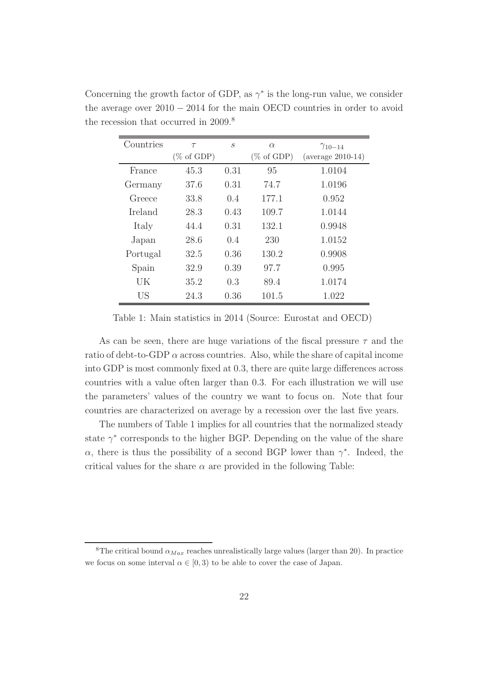| Countries | $\tau$                | $\mathcal{S}_{0}$ | $\alpha$              | $\gamma_{10-14}$    |
|-----------|-----------------------|-------------------|-----------------------|---------------------|
|           | $(\% \text{ of GDP})$ |                   | $(\% \text{ of GDP})$ | $(average 2010-14)$ |
| France    | 45.3                  | 0.31              | 95                    | 1.0104              |
| Germany   | 37.6                  | 0.31              | 74.7                  | 1.0196              |
| Greece    | 33.8                  | 0.4               | 177.1                 | 0.952               |
| Ireland   | 28.3                  | 0.43              | 109.7                 | 1.0144              |
| Italy     | 44.4                  | 0.31              | 132.1                 | 0.9948              |
| Japan     | 28.6                  | 0.4               | 230                   | 1.0152              |
| Portugal  | 32.5                  | 0.36              | 130.2                 | 0.9908              |
| Spain     | 32.9                  | 0.39              | 97.7                  | 0.995               |
| UK        | 35.2                  | 0.3               | 89.4                  | 1.0174              |
| US        | 24.3                  | 0.36              | 101.5                 | 1.022               |

Concerning the growth factor of GDP, as  $\gamma^*$  is the long-run value, we consider the average over 2010 − 2014 for the main OECD countries in order to avoid the recession that occurred in 2009.<sup>8</sup>

Table 1: Main statistics in 2014 (Source: Eurostat and OECD)

As can be seen, there are huge variations of the fiscal pressure  $\tau$  and the ratio of debt-to-GDP  $\alpha$  across countries. Also, while the share of capital income into GDP is most commonly fixed at 0.3, there are quite large differences across countries with a value often larger than 0.3. For each illustration we will use the parameters' values of the country we want to focus on. Note that four countries are characterized on average by a recession over the last five years.

The numbers of Table 1 implies for all countries that the normalized steady state  $\gamma^*$  corresponds to the higher BGP. Depending on the value of the share  $\alpha$ , there is thus the possibility of a second BGP lower than  $\gamma^*$ . Indeed, the critical values for the share  $\alpha$  are provided in the following Table:

<sup>&</sup>lt;sup>8</sup>The critical bound  $\alpha_{Max}$  reaches unrealistically large values (larger than 20). In practice we focus on some interval  $\alpha \in [0, 3)$  to be able to cover the case of Japan.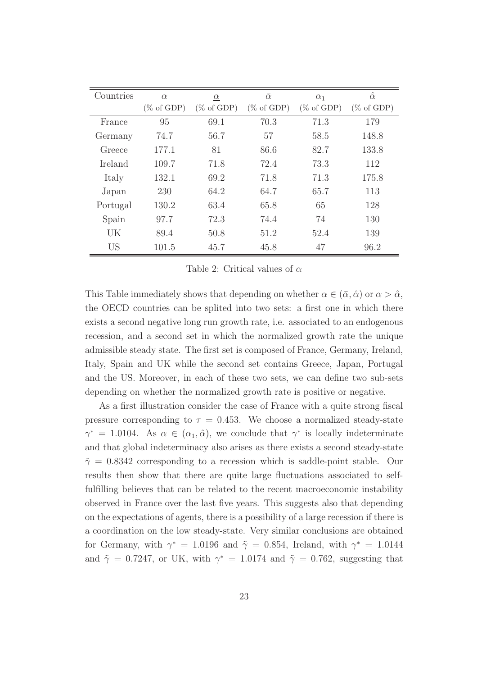| Countries | $\alpha$              | $\alpha$              | $\overline{\alpha}$   | $\alpha_1$            | $\hat{\alpha}$        |
|-----------|-----------------------|-----------------------|-----------------------|-----------------------|-----------------------|
|           | $(\% \text{ of GDP})$ | $(\% \text{ of GDP})$ | $(\% \text{ of GDP})$ | $(\% \text{ of GDP})$ | $(\% \text{ of GDP})$ |
| France    | 95                    | 69.1                  | 70.3                  | 71.3                  | 179                   |
| Germany   | 74.7                  | 56.7                  | 57                    | 58.5                  | 148.8                 |
| Greece    | 177.1                 | 81                    | 86.6                  | 82.7                  | 133.8                 |
| Ireland   | 109.7                 | 71.8                  | 72.4                  | 73.3                  | 112                   |
| Italy     | 132.1                 | 69.2                  | 71.8                  | 71.3                  | 175.8                 |
| Japan     | 230                   | 64.2                  | 64.7                  | 65.7                  | 113                   |
| Portugal  | 130.2                 | 63.4                  | 65.8                  | 65                    | 128                   |
| Spain     | 97.7                  | 72.3                  | 74.4                  | 74                    | 130                   |
| UK        | 89.4                  | 50.8                  | 51.2                  | 52.4                  | 139                   |
| <b>US</b> | 101.5                 | 45.7                  | 45.8                  | 47                    | 96.2                  |

Table 2: Critical values of  $\alpha$ 

This Table immediately shows that depending on whether  $\alpha \in (\bar{\alpha}, \hat{\alpha})$  or  $\alpha > \hat{\alpha}$ , the OECD countries can be splited into two sets: a first one in which there exists a second negative long run growth rate, i.e. associated to an endogenous recession, and a second set in which the normalized growth rate the unique admissible steady state. The first set is composed of France, Germany, Ireland, Italy, Spain and UK while the second set contains Greece, Japan, Portugal and the US. Moreover, in each of these two sets, we can define two sub-sets depending on whether the normalized growth rate is positive or negative.

As a first illustration consider the case of France with a quite strong fiscal pressure corresponding to  $\tau = 0.453$ . We choose a normalized steady-state  $\gamma^* = 1.0104$ . As  $\alpha \in (\alpha_1, \hat{\alpha})$ , we conclude that  $\gamma^*$  is locally indeterminate and that global indeterminacy also arises as there exists a second steady-state  $\tilde{\gamma} = 0.8342$  corresponding to a recession which is saddle-point stable. Our results then show that there are quite large fluctuations associated to selffulfilling believes that can be related to the recent macroeconomic instability observed in France over the last five years. This suggests also that depending on the expectations of agents, there is a possibility of a large recession if there is a coordination on the low steady-state. Very similar conclusions are obtained for Germany, with  $\gamma^* = 1.0196$  and  $\tilde{\gamma} = 0.854$ , Ireland, with  $\gamma^* = 1.0144$ and  $\tilde{\gamma} = 0.7247$ , or UK, with  $\gamma^* = 1.0174$  and  $\tilde{\gamma} = 0.762$ , suggesting that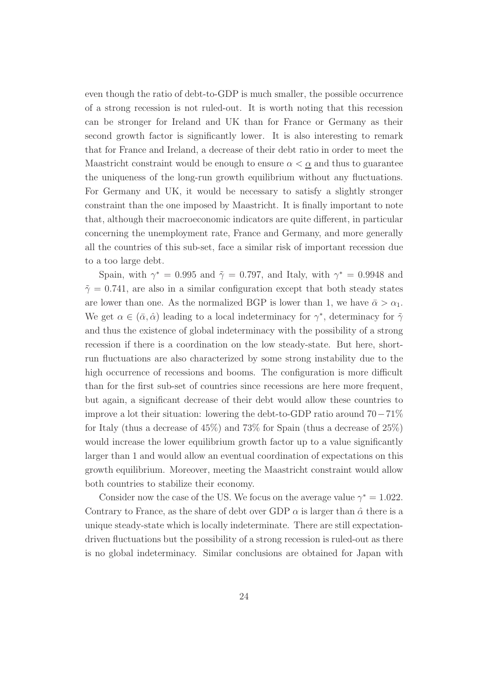even though the ratio of debt-to-GDP is much smaller, the possible occurrence of a strong recession is not ruled-out. It is worth noting that this recession can be stronger for Ireland and UK than for France or Germany as their second growth factor is significantly lower. It is also interesting to remark that for France and Ireland, a decrease of their debt ratio in order to meet the Maastricht constraint would be enough to ensure  $\alpha < \alpha$  and thus to guarantee the uniqueness of the long-run growth equilibrium without any fluctuations. For Germany and UK, it would be necessary to satisfy a slightly stronger constraint than the one imposed by Maastricht. It is finally important to note that, although their macroeconomic indicators are quite different, in particular concerning the unemployment rate, France and Germany, and more generally all the countries of this sub-set, face a similar risk of important recession due to a too large debt.

Spain, with  $\gamma^* = 0.995$  and  $\tilde{\gamma} = 0.797$ , and Italy, with  $\gamma^* = 0.9948$  and  $\tilde{\gamma} = 0.741$ , are also in a similar configuration except that both steady states are lower than one. As the normalized BGP is lower than 1, we have  $\bar{\alpha} > \alpha_1$ . We get  $\alpha \in (\bar{\alpha}, \hat{\alpha})$  leading to a local indeterminacy for  $\gamma^*$ , determinacy for  $\tilde{\gamma}$ and thus the existence of global indeterminacy with the possibility of a strong recession if there is a coordination on the low steady-state. But here, shortrun fluctuations are also characterized by some strong instability due to the high occurrence of recessions and booms. The configuration is more difficult than for the first sub-set of countries since recessions are here more frequent, but again, a significant decrease of their debt would allow these countries to improve a lot their situation: lowering the debt-to-GDP ratio around 70−71% for Italy (thus a decrease of 45%) and 73% for Spain (thus a decrease of 25%) would increase the lower equilibrium growth factor up to a value significantly larger than 1 and would allow an eventual coordination of expectations on this growth equilibrium. Moreover, meeting the Maastricht constraint would allow both countries to stabilize their economy.

Consider now the case of the US. We focus on the average value  $\gamma^* = 1.022$ . Contrary to France, as the share of debt over GDP  $\alpha$  is larger than  $\hat{\alpha}$  there is a unique steady-state which is locally indeterminate. There are still expectationdriven fluctuations but the possibility of a strong recession is ruled-out as there is no global indeterminacy. Similar conclusions are obtained for Japan with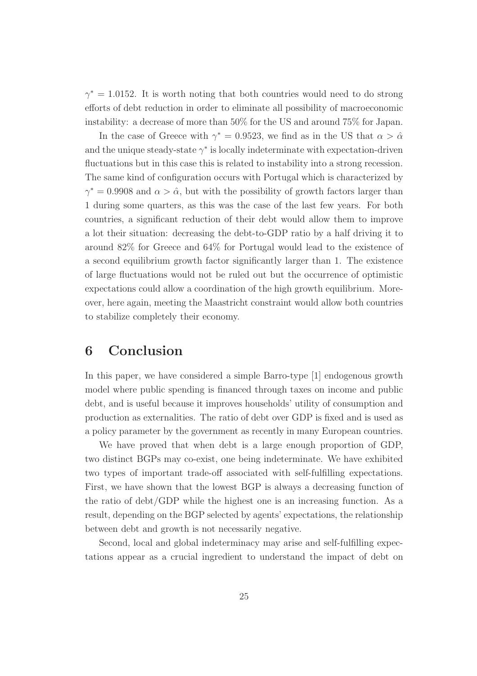$\gamma^* = 1.0152$ . It is worth noting that both countries would need to do strong efforts of debt reduction in order to eliminate all possibility of macroeconomic instability: a decrease of more than 50% for the US and around 75% for Japan.

In the case of Greece with  $\gamma^* = 0.9523$ , we find as in the US that  $\alpha > \hat{\alpha}$ and the unique steady-state  $\gamma^*$  is locally indeterminate with expectation-driven fluctuations but in this case this is related to instability into a strong recession. The same kind of configuration occurs with Portugal which is characterized by  $\gamma^* = 0.9908$  and  $\alpha > \hat{\alpha}$ , but with the possibility of growth factors larger than 1 during some quarters, as this was the case of the last few years. For both countries, a significant reduction of their debt would allow them to improve a lot their situation: decreasing the debt-to-GDP ratio by a half driving it to around 82% for Greece and 64% for Portugal would lead to the existence of a second equilibrium growth factor significantly larger than 1. The existence of large fluctuations would not be ruled out but the occurrence of optimistic expectations could allow a coordination of the high growth equilibrium. Moreover, here again, meeting the Maastricht constraint would allow both countries to stabilize completely their economy.

## 6 Conclusion

In this paper, we have considered a simple Barro-type [1] endogenous growth model where public spending is financed through taxes on income and public debt, and is useful because it improves households' utility of consumption and production as externalities. The ratio of debt over GDP is fixed and is used as a policy parameter by the government as recently in many European countries.

We have proved that when debt is a large enough proportion of GDP, two distinct BGPs may co-exist, one being indeterminate. We have exhibited two types of important trade-off associated with self-fulfilling expectations. First, we have shown that the lowest BGP is always a decreasing function of the ratio of debt/GDP while the highest one is an increasing function. As a result, depending on the BGP selected by agents' expectations, the relationship between debt and growth is not necessarily negative.

Second, local and global indeterminacy may arise and self-fulfilling expectations appear as a crucial ingredient to understand the impact of debt on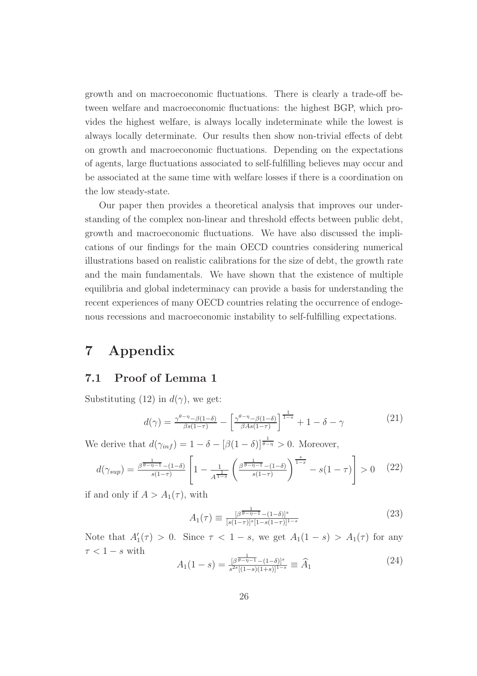growth and on macroeconomic fluctuations. There is clearly a trade-off between welfare and macroeconomic fluctuations: the highest BGP, which provides the highest welfare, is always locally indeterminate while the lowest is always locally determinate. Our results then show non-trivial effects of debt on growth and macroeconomic fluctuations. Depending on the expectations of agents, large fluctuations associated to self-fulfilling believes may occur and be associated at the same time with welfare losses if there is a coordination on the low steady-state.

Our paper then provides a theoretical analysis that improves our understanding of the complex non-linear and threshold effects between public debt, growth and macroeconomic fluctuations. We have also discussed the implications of our findings for the main OECD countries considering numerical illustrations based on realistic calibrations for the size of debt, the growth rate and the main fundamentals. We have shown that the existence of multiple equilibria and global indeterminacy can provide a basis for understanding the recent experiences of many OECD countries relating the occurrence of endogenous recessions and macroeconomic instability to self-fulfilling expectations.

## 7 Appendix

#### 7.1 Proof of Lemma 1

Substituting (12) in  $d(\gamma)$ , we get:

$$
d(\gamma) = \frac{\gamma^{\theta-\eta} - \beta(1-\delta)}{\beta s(1-\tau)} - \left[ \frac{\gamma^{\theta-\eta} - \beta(1-\delta)}{\beta As(1-\tau)} \right]^{\frac{1}{1-s}} + 1 - \delta - \gamma \tag{21}
$$

We derive that  $d(\gamma_{inf}) = 1 - \delta - [\beta(1-\delta)]^{\frac{1}{\theta-\eta}} > 0$ . Moreover,

$$
d(\gamma_{sup}) = \frac{\beta^{\frac{1}{\beta - \eta - 1}} - (1 - \delta)}{s(1 - \tau)} \left[ 1 - \frac{1}{A^{\frac{1}{1 - s}}} \left( \frac{\beta^{\frac{1}{\beta - \eta - 1}} - (1 - \delta)}{s(1 - \tau)} \right)^{\frac{s}{1 - s}} - s(1 - \tau) \right] > 0 \quad (22)
$$

if and only if  $A > A_1(\tau)$ , with

$$
A_1(\tau) \equiv \frac{[\beta^{\frac{1}{\theta - \eta - 1}} - (1 - \delta)]^s}{[s(1 - \tau)]^s [1 - s(1 - \tau)]^{1 - s}} \tag{23}
$$

Note that  $A'_1(\tau) > 0$ . Since  $\tau < 1 - s$ , we get  $A_1(1 - s) > A_1(\tau)$  for any  $\tau < 1-s$  with

$$
A_1(1-s) = \frac{\beta^{\frac{1}{\theta-\eta-1}} - (1-\delta)^s}{s^{2s}[(1-s)(1+s)]^{1-s}} \equiv \widehat{A}_1 \tag{24}
$$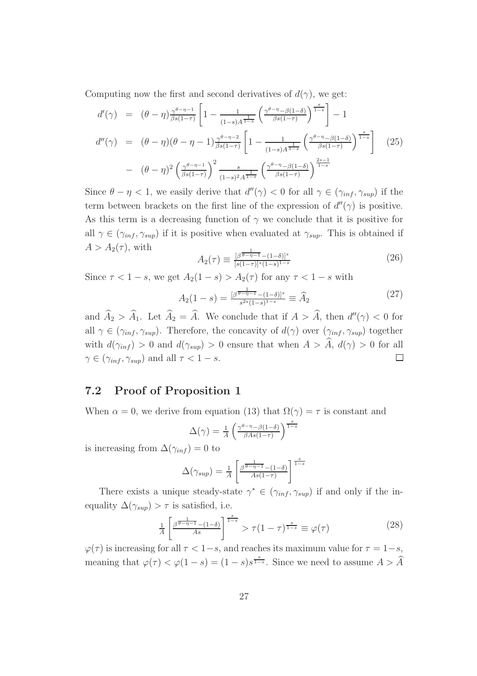Computing now the first and second derivatives of  $d(\gamma)$ , we get:

$$
d'(\gamma) = (\theta - \eta) \frac{\gamma^{\theta - \eta - 1}}{\beta s (1 - \tau)} \left[ 1 - \frac{1}{(1 - s)A^{\frac{1}{1 - s}}} \left( \frac{\gamma^{\theta - \eta} - \beta (1 - \delta)}{\beta s (1 - \tau)} \right)^{\frac{s}{1 - s}} \right] - 1
$$
  

$$
d''(\gamma) = (\theta - \eta)(\theta - \eta - 1) \frac{\gamma^{\theta - \eta - 2}}{\beta s (1 - \tau)} \left[ 1 - \frac{1}{(1 - s)A^{\frac{1}{1 - s}}} \left( \frac{\gamma^{\theta - \eta} - \beta (1 - \delta)}{\beta s (1 - \tau)} \right)^{\frac{s}{1 - s}} \right] \tag{25}
$$

$$
- (\theta - \eta)^2 \left( \frac{\gamma^{\theta - \eta - 1}}{\beta s (1 - \tau)} \right)^2 \frac{s}{(1 - s)^2 A^{\frac{1}{1 - s}}} \left( \frac{\gamma^{\theta - \eta} - \beta (1 - \delta)}{\beta s (1 - \tau)} \right)^{\frac{2s - 1}{1 - s}}
$$

Since  $\theta - \eta < 1$ , we easily derive that  $d''(\gamma) < 0$  for all  $\gamma \in (\gamma_{inf}, \gamma_{sup})$  if the term between brackets on the first line of the expression of  $d''(\gamma)$  is positive. As this term is a decreasing function of  $\gamma$  we conclude that it is positive for all  $\gamma \in (\gamma_{inf}, \gamma_{sup})$  if it is positive when evaluated at  $\gamma_{sup}$ . This is obtained if  $A > A_2(\tau)$ , with 1

$$
A_2(\tau) \equiv \frac{[\beta^{\frac{1}{\theta - \eta - 1}} - (1 - \delta)]^s}{[s(1 - \tau)]^s (1 - s)^{1 - s}} \tag{26}
$$

Since  $\tau < 1 - s$ , we get  $A_2(1 - s) > A_2(\tau)$  for any  $\tau < 1 - s$  with

$$
A_2(1-s) = \frac{[\beta^{\frac{1}{\theta-\eta-1}} - (1-\delta)]^s}{s^{2s}(1-s)^{1-s}} \equiv \widehat{A}_2 \tag{27}
$$

and  $\hat{A}_2 > \hat{A}_1$ . Let  $\hat{A}_2 = \hat{A}$ . We conclude that if  $A > \hat{A}$ , then  $d''(\gamma) < 0$  for all  $\gamma \in (\gamma_{inf}, \gamma_{sup})$ . Therefore, the concavity of  $d(\gamma)$  over  $(\gamma_{inf}, \gamma_{sup})$  together with  $d(\gamma_{inf}) > 0$  and  $d(\gamma_{sup}) > 0$  ensure that when  $A > \hat{A}$ ,  $d(\gamma) > 0$  for all  $\gamma \in (\gamma_{inf}, \gamma_{sup})$  and all  $\tau < 1 - s$ .  $\Box$ 

#### 7.2 Proof of Proposition 1

When  $\alpha = 0$ , we derive from equation (13) that  $\Omega(\gamma) = \tau$  is constant and

$$
\Delta(\gamma) = \frac{1}{A} \left( \frac{\gamma^{\theta - \eta} - \beta(1 - \delta)}{\beta A s (1 - \tau)} \right)^{\frac{s}{1 - s}}
$$

is increasing from  $\Delta(\gamma_{inf}) = 0$  to

$$
\Delta(\gamma_{sup}) = \frac{1}{A} \left[ \frac{\beta^{\frac{1}{\theta - \eta - 1}} - (1 - \delta)}{As(1 - \tau)} \right]^{\frac{s}{1 - s}}
$$

There exists a unique steady-state  $\gamma^* \in (\gamma_{inf}, \gamma_{sup})$  if and only if the inequality  $\Delta(\gamma_{sup}) > \tau$  is satisfied, i.e.

$$
\frac{1}{A} \left[ \frac{\beta^{\frac{1}{\theta - \eta - 1}} - (1 - \delta)}{As} \right]^{\frac{s}{1 - s}} > \tau (1 - \tau)^{\frac{s}{1 - s}} \equiv \varphi(\tau)
$$
\n(28)

 $\varphi(\tau)$  is increasing for all  $\tau < 1-s$ , and reaches its maximum value for  $\tau = 1-s$ , meaning that  $\varphi(\tau) < \varphi(1-s) = (1-s)s^{\frac{s}{1-s}}$ . Since we need to assume  $A > \widehat{A}$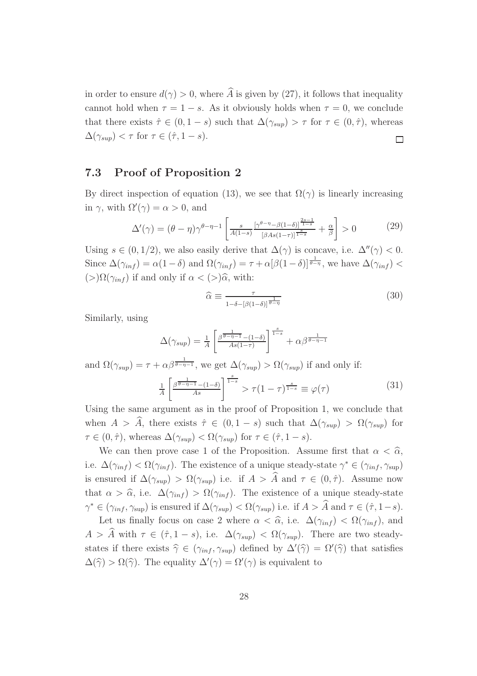in order to ensure  $d(\gamma) > 0$ , where  $\widehat{A}$  is given by (27), it follows that inequality cannot hold when  $\tau = 1 - s$ . As it obviously holds when  $\tau = 0$ , we conclude that there exists  $\hat{\tau} \in (0, 1-s)$  such that  $\Delta(\gamma_{sup}) > \tau$  for  $\tau \in (0, \hat{\tau})$ , whereas  $\Delta(\gamma_{\sup}) < \tau$  for  $\tau \in (\hat{\tau}, 1-s)$ .  $\Box$ 

### 7.3 Proof of Proposition 2

By direct inspection of equation (13), we see that  $\Omega(\gamma)$  is linearly increasing in  $\gamma$ , with  $\Omega'(\gamma) = \alpha > 0$ , and

$$
\Delta'(\gamma) = (\theta - \eta)\gamma^{\theta - \eta - 1} \left[ \frac{s}{A(1-s)} \frac{\left[\gamma^{\theta - \eta} - \beta(1-\delta)\right]^{\frac{2s-1}{1-s}}}{\left[\beta A s(1-\tau)\right]^{\frac{s}{1-s}}} + \frac{\alpha}{\beta} \right] > 0 \tag{29}
$$

Using  $s \in (0, 1/2)$ , we also easily derive that  $\Delta(\gamma)$  is concave, i.e.  $\Delta''(\gamma) < 0$ . Since  $\Delta(\gamma_{inf}) = \alpha(1-\delta)$  and  $\Omega(\gamma_{inf}) = \tau + \alpha[\beta(1-\delta)]^{\frac{1}{\theta-\eta}}$ , we have  $\Delta(\gamma_{inf}) <$ (>)Ω(γinf ) if and only if α < (>)αb, with:

$$
\widehat{\alpha} \equiv \frac{\tau}{1 - \delta - [\beta(1 - \delta)]^{\frac{1}{\theta - \eta}}} \tag{30}
$$

Similarly, using

$$
\Delta(\gamma_{sup}) = \frac{1}{A} \left[ \frac{\beta^{\frac{1}{\theta - \eta - 1}} - (1 - \delta)}{As(1 - \tau)} \right]^{\frac{s}{1 - s}} + \alpha \beta^{\frac{1}{\theta - \eta - 1}}
$$

and  $\Omega(\gamma_{sup}) = \tau + \alpha \beta^{\frac{1}{\theta - \eta - 1}},$  we get  $\Delta(\gamma_{sup}) > \Omega(\gamma_{sup})$  if and only if:

$$
\frac{1}{A} \left[ \frac{\beta^{\frac{1}{\theta - \eta - 1}} - (1 - \delta)}{As} \right]^{\frac{s}{1 - s}} > \tau (1 - \tau)^{\frac{s}{1 - s}} \equiv \varphi(\tau)
$$
\n(31)

Using the same argument as in the proof of Proposition 1, we conclude that when  $A > \hat{A}$ , there exists  $\hat{\tau} \in (0, 1-s)$  such that  $\Delta(\gamma_{sup}) > \Omega(\gamma_{sup})$  for  $\tau \in (0, \hat{\tau}),$  whereas  $\Delta(\gamma_{sup}) < \Omega(\gamma_{sup})$  for  $\tau \in (\hat{\tau}, 1-s).$ 

We can then prove case 1 of the Proposition. Assume first that  $\alpha < \hat{\alpha}$ , i.e.  $\Delta(\gamma_{inf}) < \Omega(\gamma_{inf})$ . The existence of a unique steady-state  $\gamma^* \in (\gamma_{inf}, \gamma_{sup})$ is ensured if  $\Delta(\gamma_{sup}) > \Omega(\gamma_{sup})$  i.e. if  $A > \hat{A}$  and  $\tau \in (0, \hat{\tau})$ . Assume now that  $\alpha > \hat{\alpha}$ , i.e.  $\Delta(\gamma_{inf}) > \Omega(\gamma_{inf})$ . The existence of a unique steady-state  $\gamma^* \in (\gamma_{inf}, \gamma_{sup})$  is ensured if  $\Delta(\gamma_{sup}) < \Omega(\gamma_{sup})$  i.e. if  $A > \hat{A}$  and  $\tau \in (\hat{\tau}, 1-s)$ .

Let us finally focus on case 2 where  $\alpha < \hat{\alpha}$ , i.e.  $\Delta(\gamma_{inf}) < \Omega(\gamma_{inf})$ , and  $A > A$  with  $\tau \in (\hat{\tau}, 1-s)$ , i.e.  $\Delta(\gamma_{sup}) < \Omega(\gamma_{sup})$ . There are two steadystates if there exists  $\hat{\gamma} \in (\gamma_{inf}, \gamma_{sup})$  defined by  $\Delta'(\hat{\gamma}) = \Omega'(\hat{\gamma})$  that satisfies  $\Delta(\hat{\gamma}) > \Omega(\hat{\gamma})$ . The equality  $\Delta'(\gamma) = \Omega'(\gamma)$  is equivalent to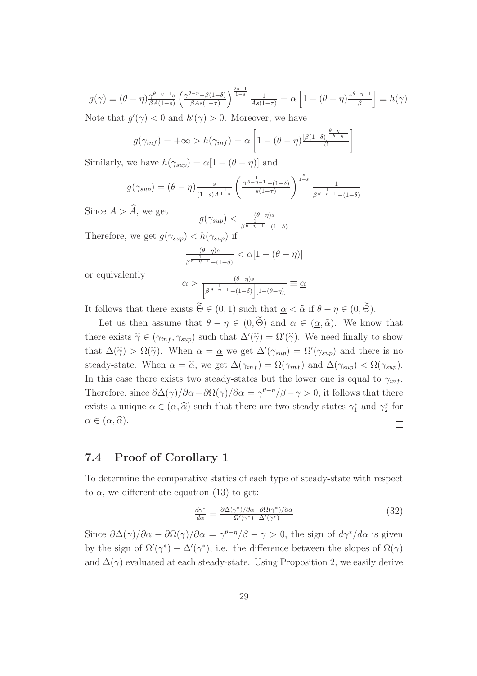$$
g(\gamma) \equiv (\theta - \eta) \frac{\gamma^{\theta - \eta - 1} s}{\beta A(1 - s)} \left( \frac{\gamma^{\theta - \eta} - \beta(1 - \delta)}{\beta A s(1 - \tau)} \right)^{\frac{2s - 1}{1 - s}} \frac{1}{A s(1 - \tau)} = \alpha \left[ 1 - (\theta - \eta) \frac{\gamma^{\theta - \eta - 1}}{\beta} \right] \equiv h(\gamma)
$$
  
Note that  $g'(\alpha) < 0$  and  $h'(\alpha) > 0$ . Moreover, we have

Note that  $g'(\gamma) < 0$  and  $h'(\gamma) > 0$ . Moreover, we have

$$
g(\gamma_{inf}) = +\infty > h(\gamma_{inf}) = \alpha \left[ 1 - (\theta - \eta) \frac{[\beta(1-\delta)]^{\frac{\theta - \eta - 1}{\theta - \eta}}}{\beta} \right]
$$

Similarly, we have  $h(\gamma_{\text{sup}}) = \alpha[1 - (\theta - \eta)]$  and

$$
g(\gamma_{sup}) = (\theta - \eta) \frac{s}{(1-s)A^{\frac{1}{1-s}}} \left(\frac{\beta^{\frac{1}{\theta - \eta - 1}} - (1-\delta)}{s(1-\tau)}\right)^{\frac{s}{1-s}} \frac{1}{\beta^{\frac{1}{\theta - \eta - 1}} - (1-\delta)}
$$

Since  $A > A$ , we get  $g(\gamma_{sup}) < \frac{(\theta - \eta)s}{\sqrt{1 - \frac{1}{\theta}}$ 

 $\beta \overline{\theta-\eta-1}$  -(1- $\delta$ ) Therefore, we get  $g(\gamma_{sup}) < h(\gamma_{sup})$  if

$$
\frac{(\theta-\eta)s}{\beta^{\frac{1}{\theta-\eta-1}}-(1-\delta)} < \alpha[1-(\theta-\eta)]
$$

or equivalently

$$
\alpha > \frac{(\theta - \eta)s}{\left[\beta^{\frac{1}{\theta - \eta - 1}} - (1 - \delta)\right][1 - (\theta - \eta)]} \equiv \underline{\alpha}
$$

It follows that there exists  $\widetilde{\Theta} \in (0, 1)$  such that  $\alpha < \widehat{\alpha}$  if  $\theta - \eta \in (0, \widetilde{\Theta})$ .

Let us then assume that  $\theta - \eta \in (0, \widetilde{\Theta})$  and  $\alpha \in (\underline{\alpha}, \widehat{\alpha})$ . We know that there exists  $\hat{\gamma} \in (\gamma_{inf}, \gamma_{sup})$  such that  $\Delta'(\hat{\gamma}) = \Omega'(\hat{\gamma})$ . We need finally to show that  $\Delta(\hat{\gamma}) > \Omega(\hat{\gamma})$ . When  $\alpha = \underline{\alpha}$  we get  $\Delta'(\gamma_{sup}) = \Omega'(\gamma_{sup})$  and there is no steady-state. When  $\alpha = \widehat{\alpha}$ , we get  $\Delta(\gamma_{inf}) = \Omega(\gamma_{inf})$  and  $\Delta(\gamma_{sup}) < \Omega(\gamma_{sup})$ . In this case there exists two steady-states but the lower one is equal to  $\gamma_{inf}$ . Therefore, since  $\partial \Delta(\gamma)/\partial \alpha - \partial \Omega(\gamma)/\partial \alpha = \gamma^{\theta-\eta}/\beta - \gamma > 0$ , it follows that there exists a unique  $\underline{\alpha} \in (\underline{\alpha}, \widehat{\alpha})$  such that there are two steady-states  $\gamma_1^*$  and  $\gamma_2^*$  for  $\alpha \in (\underline{\alpha}, \widehat{\alpha}).$  $\Box$ 

#### 7.4 Proof of Corollary 1

To determine the comparative statics of each type of steady-state with respect to  $\alpha$ , we differentiate equation (13) to get:

$$
\frac{d\gamma^*}{d\alpha} = \frac{\partial \Delta(\gamma^*)/\partial \alpha - \partial \Omega(\gamma^*)/\partial \alpha}{\Omega'(\gamma^*) - \Delta'(\gamma^*)}
$$
(32)

Since  $\partial \Delta(\gamma)/\partial \alpha - \partial \Omega(\gamma)/\partial \alpha = \gamma^{\theta-\eta}/\beta - \gamma > 0$ , the sign of  $d\gamma^* / d\alpha$  is given by the sign of  $\Omega'(\gamma^*) - \Delta'(\gamma^*)$ , i.e. the difference between the slopes of  $\Omega(\gamma)$ and  $\Delta(\gamma)$  evaluated at each steady-state. Using Proposition 2, we easily derive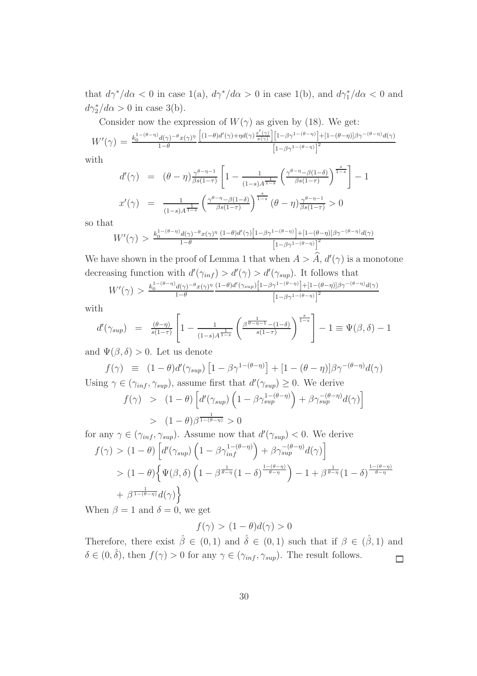that  $d\gamma^*/d\alpha < 0$  in case 1(a),  $d\gamma^*/d\alpha > 0$  in case 1(b), and  $d\gamma_1^*/d\alpha < 0$  and  $d\gamma_2^*/d\alpha > 0$  in case 3(b).

Consider now the expression of  $W(\gamma)$  as given by (18). We get:

$$
W'(\gamma) = \frac{k_0^{1-(\theta-\eta)}d(\gamma)^{-\theta}x(\gamma)^{\eta}}{1-\theta} \frac{\left[ (1-\theta)d'(\gamma) + \eta d(\gamma)\frac{x'(\gamma)}{x(\gamma)} \right] \left[ 1-\beta\gamma^{1-(\theta-\eta)} \right] + [1-(\theta-\eta)]\beta\gamma^{-(\theta-\eta)}d(\gamma)}{\left[ 1-\beta\gamma^{1-(\theta-\eta)} \right]^2}
$$

with

$$
d'(\gamma) = (\theta - \eta) \frac{\gamma^{\theta - \eta - 1}}{\beta s (1 - \tau)} \left[ 1 - \frac{1}{(1 - s) A^{\frac{1}{1 - s}}} \left( \frac{\gamma^{\theta - \eta} - \beta (1 - \delta)}{\beta s (1 - \tau)} \right)^{\frac{s}{1 - s}} \right] - 1
$$
  

$$
x'(\gamma) = \frac{1}{(1 - s) A^{\frac{1}{1 - s}}} \left( \frac{\gamma^{\theta - \eta} - \beta (1 - \delta)}{\beta s (1 - \tau)} \right)^{\frac{s}{1 - s}} (\theta - \eta) \frac{\gamma^{\theta - \eta - 1}}{\beta s (1 - \tau)} > 0
$$

so that

$$
W'(\gamma) > \frac{k_0^{1-(\theta-\eta)}d(\gamma)^{-\theta}x(\gamma)^{\eta}}{1-\theta}\frac{(1-\theta)d'(\gamma)\big[1-\beta\gamma^{1-(\theta-\eta)}\big]+[1-(\theta-\eta)]\beta\gamma^{-(\theta-\eta)}d(\gamma)}{\big[1-\beta\gamma^{1-(\theta-\eta)}\big]^2}
$$

We have shown in the proof of Lemma 1 that when  $A > \hat{A}$ ,  $d'(\gamma)$  is a monotone decreasing function with  $d'(\gamma_{inf}) > d'(\gamma) > d'(\gamma_{sup})$ . It follows that

$$
W'(\gamma) > \frac{k_0^{1-(\theta-\eta)}d(\gamma)^{-\theta}x(\gamma)^{\eta}}{1-\theta}\frac{(1-\theta)d'(\gamma_{sup})\left[1-\beta\gamma^{1-(\theta-\eta)}\right] + [1-(\theta-\eta)]\beta\gamma^{-(\theta-\eta)}d(\gamma)}{\left[1-\beta\gamma^{1-(\theta-\eta)}\right]^2}
$$

with

$$
d'(\gamma_{sup}) = \frac{(\theta - \eta)}{s(1 - \tau)} \left[ 1 - \frac{1}{(1 - s)A^{\frac{1}{1 - s}}} \left( \frac{\beta^{\frac{1}{\theta - \eta - 1}} - (1 - \delta)}{s(1 - \tau)} \right)^{\frac{s}{1 - s}} \right] - 1 \equiv \Psi(\beta, \delta) - 1
$$

and  $\Psi(\beta, \delta) > 0$ . Let us denote

$$
f(\gamma) \equiv (1 - \theta)d'(\gamma_{sup}) [1 - \beta \gamma^{1 - (\theta - \eta)}] + [1 - (\theta - \eta)]\beta \gamma^{-(\theta - \eta)}d(\gamma)
$$
  
Using  $\gamma \in (\gamma_{inf}, \gamma_{sup})$ , assume first that  $d'(\gamma_{sup}) \ge 0$ . We derive

$$
f(\gamma) > (1 - \theta) \left[ d'(\gamma_{sup}) \left( 1 - \beta \gamma_{sup}^{1 - (\theta - \eta)} \right) + \beta \gamma_{sup}^{-(\theta - \eta)} d(\gamma) \right]
$$
  
> 
$$
(1 - \theta) \beta^{\frac{1}{1 - (\theta - \eta)}} > 0
$$

for any  $\gamma \in (\gamma_{inf}, \gamma_{sup})$ . Assume now that  $d'(\gamma_{sup}) < 0$ . We derive  $f(\gamma) > (1 - \theta) \left[ d'(\gamma_{sup}) \left( 1 - \beta \gamma_{inf}^{1 - (\theta - \eta)} \right) + \beta \gamma_{sup}^{-(\theta - \eta)} d(\gamma) \right]$  $> (1-\theta)\Big\{\Psi(\beta,\delta)\left(1-\beta^{\frac{1}{\theta-\eta}}(1-\delta)^{\frac{1-(\theta-\eta)}{\theta-\eta}}\right)-1+\beta^{\frac{1}{\theta-\eta}}(1-\delta)^{\frac{1-(\theta-\eta)}{\theta-\eta}}\Big\}$  $+ \beta^{\frac{1}{1-(\theta-\eta)}} d(\gamma)$ 

When  $\beta = 1$  and  $\delta = 0$ , we get

$$
f(\gamma) > (1 - \theta)d(\gamma) > 0
$$

Therefore, there exist  $\hat{\beta} \in (0,1)$  and  $\hat{\delta} \in (0,1)$  such that if  $\beta \in (\hat{\beta},1)$  and  $\delta \in (0, \hat{\delta})$ , then  $f(\gamma) > 0$  for any  $\gamma \in (\gamma_{inf}, \gamma_{sup})$ . The result follows.  $\Box$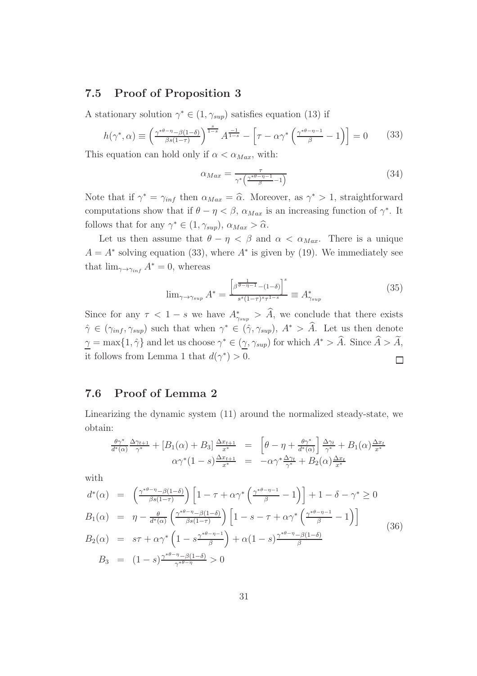#### 7.5 Proof of Proposition 3

A stationary solution  $\gamma^* \in (1, \gamma_{\sup})$  satisfies equation (13) if

$$
h(\gamma^*, \alpha) \equiv \left(\frac{\gamma^{*\theta-\eta} - \beta(1-\delta)}{\beta s(1-\tau)}\right)^{\frac{s}{1-s}} A^{\frac{-1}{1-s}} - \left[\tau - \alpha \gamma^* \left(\frac{\gamma^{*\theta-\eta-1}}{\beta} - 1\right)\right] = 0 \tag{33}
$$

This equation can hold only if  $\alpha < \alpha_{Max}$ , with:

$$
\alpha_{Max} = \frac{\tau}{\gamma^* \left( \frac{\gamma^{* \theta - \eta - 1}}{\beta} - 1 \right)} \tag{34}
$$

Note that if  $\gamma^* = \gamma_{inf}$  then  $\alpha_{Max} = \hat{\alpha}$ . Moreover, as  $\gamma^* > 1$ , straightforward computations show that if  $\theta - \eta < \beta$ ,  $\alpha_{Max}$  is an increasing function of  $\gamma^*$ . It follows that for any  $\gamma^* \in (1, \gamma_{\sup}), \alpha_{Max} > \widehat{\alpha}$ .

Let us then assume that  $\theta - \eta < \beta$  and  $\alpha < \alpha_{Max}$ . There is a unique  $A = A^*$  solving equation (33), where  $A^*$  is given by (19). We immediately see that  $\lim_{\gamma \to \gamma_{inf}} A^* = 0$ , whereas

$$
\lim_{\gamma \to \gamma_{\sup}} A^* = \frac{\left[\beta^{\frac{1}{\theta - \eta - 1}} - (1 - \delta)\right]^s}{s^s (1 - \tau)^s \tau^{1 - s}} \equiv A^*_{\gamma_{\sup}}
$$
\n(35)

Since for any  $\tau < 1 - s$  we have  $A^*_{\gamma_{sup}} > \tilde{A}$ , we conclude that there exists  $\hat{\gamma} \in (\gamma_{inf}, \gamma_{sup})$  such that when  $\gamma^* \in (\hat{\gamma}, \gamma_{sup}), A^* > \hat{A}$ . Let us then denote  $\gamma = \max\{1, \hat{\gamma}\}\$ and let us choose  $\gamma^* \in (\gamma, \gamma_{sup})$  for which  $A^* > \hat{A}$ . Since  $\hat{A} > \hat{A}$ , it follows from Lemma 1 that  $d(\gamma^*) > 0$ .  $\Box$ 

#### 7.6 Proof of Lemma 2

Linearizing the dynamic system (11) around the normalized steady-state, we obtain:

$$
\frac{\theta \gamma^*}{d^*(\alpha)} \frac{\Delta \gamma_{t+1}}{\gamma^*} + [B_1(\alpha) + B_3] \frac{\Delta x_{t+1}}{x^*} = \left[ \theta - \eta + \frac{\theta \gamma^*}{d^*(\alpha)} \right] \frac{\Delta \gamma_t}{\gamma^*} + B_1(\alpha) \frac{\Delta x_t}{x^*}
$$

$$
\alpha \gamma^*(1-s) \frac{\Delta x_{t+1}}{x^*} = -\alpha \gamma^* \frac{\Delta \gamma_t}{\gamma^*} + B_2(\alpha) \frac{\Delta x_t}{x^*}
$$

with

$$
d^*(\alpha) = \left(\frac{\gamma^{*\theta-\eta-\beta(1-\delta)}}{\beta s(1-\tau)}\right) \left[1-\tau+\alpha\gamma^*\left(\frac{\gamma^{*\theta-\eta-1}}{\beta}-1\right)\right] + 1-\delta-\gamma^* \ge 0
$$
  
\n
$$
B_1(\alpha) = \eta - \frac{\theta}{d^*(\alpha)} \left(\frac{\gamma^{*\theta-\eta-\beta(1-\delta)}}{\beta s(1-\tau)}\right) \left[1-s-\tau+\alpha\gamma^*\left(\frac{\gamma^{*\theta-\eta-1}}{\beta}-1\right)\right]
$$
  
\n
$$
B_2(\alpha) = s\tau + \alpha\gamma^*\left(1-s\frac{\gamma^{*\theta-\eta-1}}{\beta}\right) + \alpha(1-s)\frac{\gamma^{*\theta-\eta-\beta(1-\delta)}}{\beta}
$$
  
\n
$$
B_3 = (1-s)\frac{\gamma^{*\theta-\eta-\beta(1-\delta)}}{\gamma^{*\theta-\eta}} > 0
$$
\n(36)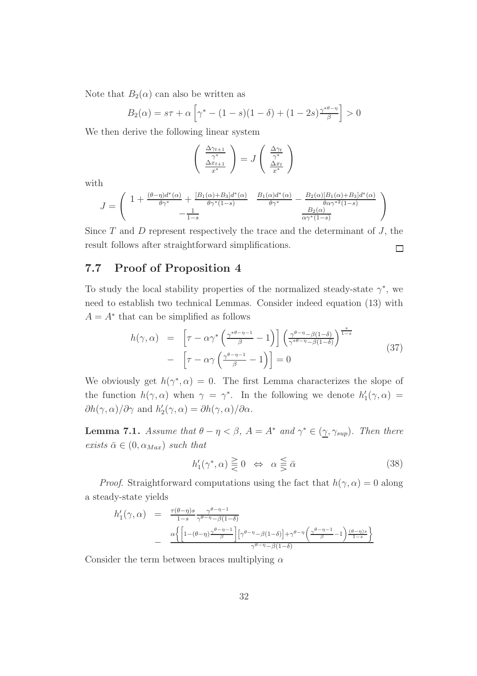Note that  $B_2(\alpha)$  can also be written as

$$
B_2(\alpha) = s\tau + \alpha \left[ \gamma^* - (1 - s)(1 - \delta) + (1 - 2s) \frac{\gamma^{* \theta - \eta}}{\beta} \right] > 0
$$

We then derive the following linear system

$$
\begin{pmatrix}\n\frac{\Delta \gamma_{t+1}}{\gamma^*} \\
\frac{\Delta x_{t+1}}{x^*}\n\end{pmatrix} = J \begin{pmatrix}\n\frac{\Delta \gamma_t}{\gamma^*} \\
\frac{\Delta x_t}{x^*}\n\end{pmatrix}
$$

with

$$
J = \begin{pmatrix} 1 + \frac{(\theta - \eta)d^*(\alpha)}{\theta\gamma^*} + \frac{[B_1(\alpha) + B_3]d^*(\alpha)}{\theta\gamma^*(1-s)} & \frac{B_1(\alpha)d^*(\alpha)}{\theta\gamma^*} - \frac{B_2(\alpha)[B_1(\alpha) + B_3]d^*(\alpha)}{\theta\alpha\gamma^*(1-s)} \\ -\frac{1}{1-s} & \frac{B_2(\alpha)}{\alpha\gamma^*(1-s)} \end{pmatrix}
$$

Since  $T$  and  $D$  represent respectively the trace and the determinant of  $J$ , the result follows after straightforward simplifications.  $\Box$ 

#### 7.7 Proof of Proposition 4

To study the local stability properties of the normalized steady-state  $\gamma^*$ , we need to establish two technical Lemmas. Consider indeed equation (13) with  $A = A^*$  that can be simplified as follows

$$
h(\gamma, \alpha) = \left[ \tau - \alpha \gamma^* \left( \frac{\gamma^{*\theta - \eta - 1}}{\beta} - 1 \right) \right] \left( \frac{\gamma^{\theta - \eta} - \beta(1 - \delta)}{\gamma^{*\theta - \eta} - \beta(1 - \delta)} \right)^{\frac{s}{1 - s}} - \left[ \tau - \alpha \gamma \left( \frac{\gamma^{\theta - \eta - 1}}{\beta} - 1 \right) \right] = 0
$$
\n(37)

We obviously get  $h(\gamma^*, \alpha) = 0$ . The first Lemma characterizes the slope of the function  $h(\gamma, \alpha)$  when  $\gamma = \gamma^*$ . In the following we denote  $h'_1(\gamma, \alpha) =$  $\partial h(\gamma, \alpha)/\partial \gamma$  and  $h'_2(\gamma, \alpha) = \partial h(\gamma, \alpha)/\partial \alpha$ .

**Lemma 7.1.** *Assume that*  $\theta - \eta < \beta$ ,  $A = A^*$  *and*  $\gamma^* \in (\gamma, \gamma_{sup})$ *. Then there exists*  $\bar{\alpha} \in (0, \alpha_{Max})$  *such that* 

$$
h_1'(\gamma^*, \alpha) \geq 0 \iff \alpha \leq \bar{\alpha} \tag{38}
$$

*Proof.* Straightforward computations using the fact that  $h(\gamma, \alpha) = 0$  along a steady-state yields

$$
h'_1(\gamma, \alpha) = \frac{\tau(\theta - \eta)s}{1 - s} \frac{\gamma^{\theta - \eta - 1}}{\gamma^{\theta - \eta} - \beta(1 - \delta)}
$$
  
- 
$$
\frac{\alpha \left\{ \left[ 1 - (\theta - \eta) \frac{\gamma^{\theta - \eta - 1}}{\beta} \right] \left[ \gamma^{\theta - \eta} - \beta(1 - \delta) \right] + \gamma^{\theta - \eta} \left( \frac{\gamma^{\theta - \eta - 1}}{\beta} - 1 \right) \frac{(\theta - \eta)s}{1 - s} \right\}}{\gamma^{\theta - \eta} - \beta(1 - \delta)}
$$

Consider the term between braces multiplying  $\alpha$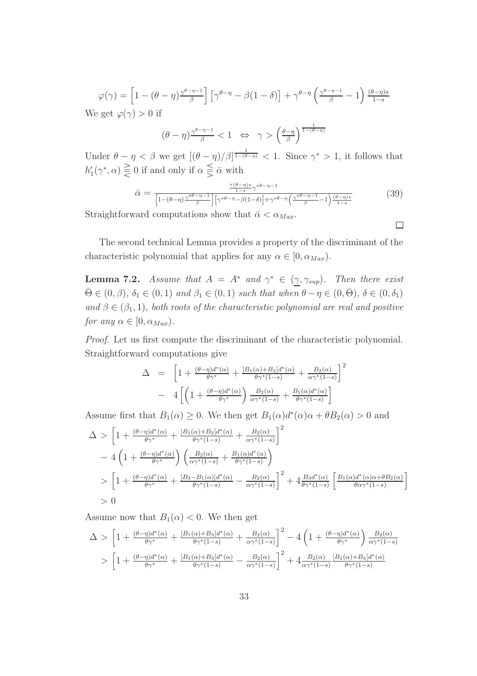$$
\varphi(\gamma) = \left[1 - (\theta - \eta) \frac{\gamma^{\theta - \eta - 1}}{\beta}\right] \left[\gamma^{\theta - \eta} - \beta(1 - \delta)\right] + \gamma^{\theta - \eta} \left(\frac{\gamma^{\theta - \eta - 1}}{\beta} - 1\right) \frac{(\theta - \eta)s}{1 - s}
$$
  
We get  $\varphi(\gamma) > 0$  if

$$
(\theta - \eta)^{\frac{\gamma^{\theta - \eta - 1}}{\beta}} < 1 \quad \Leftrightarrow \quad \gamma > \left(\frac{\theta - \eta}{\beta}\right)^{\frac{1}{1 - (\theta - \eta)}}
$$

Under  $\theta - \eta < \beta$  we get  $[(\theta - \eta)/\beta]^{\frac{1}{1-(\theta-\eta)}} < 1$ . Since  $\gamma^* > 1$ , it follows that  $h'_1(\gamma^*, \alpha) \leq 0$  if and only if  $\alpha \leq \overline{\alpha}$  with

$$
\bar{\alpha} = \frac{\frac{\tau(\theta - \eta)s}{1 - s}\gamma^{*\theta - \eta - 1}}{\left[1 - (\theta - \eta)\frac{\gamma^{*\theta - \eta - 1}}{\beta}\right] \left[\gamma^{*\theta - \eta} - \beta(1 - \delta)\right] + \gamma^{*\theta - \eta}\left(\frac{\gamma^{*\theta - \eta - 1}}{\beta} - 1\right)\frac{(\theta - \eta)s}{1 - s}}\n\tag{39}
$$

Straightforward computations show that  $\bar{\alpha} < \alpha_{Max}$ .

 $\Box$ 

The second technical Lemma provides a property of the discriminant of the characteristic polynomial that applies for any  $\alpha \in [0, \alpha_{Max})$ .

**Lemma 7.2.** *Assume that*  $A = A^*$  *and*  $\gamma^* \in (\gamma, \gamma_{sup})$ *. Then there exist*  $\bar{\Theta} \in (0, \beta), \delta_1 \in (0, 1)$  *and*  $\beta_1 \in (0, 1)$  *such that when*  $\theta - \eta \in (0, \bar{\Theta}), \delta \in (0, \delta_1)$ and  $\beta \in (\beta_1, 1)$ *, both roots of the characteristic polynomial are real and positive for any*  $\alpha \in [0, \alpha_{Max})$ *.* 

*Proof*. Let us first compute the discriminant of the characteristic polynomial. Straightforward computations give

$$
\Delta = \left[1 + \frac{(\theta - \eta)d^*(\alpha)}{\theta\gamma^*} + \frac{[B_1(\alpha) + B_3]d^*(\alpha)}{\theta\gamma^*(1-s)} + \frac{B_2(\alpha)}{\alpha\gamma^*(1-s)}\right]^2
$$

$$
- 4\left[\left(1 + \frac{(\theta - \eta)d^*(\alpha)}{\theta\gamma^*}\right)\frac{B_2(\alpha)}{\alpha\gamma^*(1-s)} + \frac{B_1(\alpha)d^*(\alpha)}{\theta\gamma^*(1-s)}\right]
$$

Assume first that  $B_1(\alpha) \geq 0$ . We then get  $B_1(\alpha)d^*(\alpha)\alpha + \theta B_2(\alpha) > 0$  and

$$
\Delta > \left[1 + \frac{(\theta - \eta)d^*(\alpha)}{\theta\gamma^*} + \frac{[B_1(\alpha) + B_3]d^*(\alpha)}{\theta\gamma^*(1-s)} + \frac{B_2(\alpha)}{\alpha\gamma^*(1-s)}\right]^2
$$
  
- 4  $\left(1 + \frac{(\theta - \eta)d^*(\alpha)}{\theta\gamma^*}\right)\left(\frac{B_2(\alpha)}{\alpha\gamma^*(1-s)} + \frac{B_1(\alpha)d^*(\alpha)}{\theta\gamma^*(1-s)}\right)$   
>  $\left[1 + \frac{(\theta - \eta)d^*(\alpha)}{\theta\gamma^*} + \frac{[B_3 - B_1(\alpha)]d^*(\alpha)}{\theta\gamma^*(1-s)} - \frac{B_2(\alpha)}{\alpha\gamma^*(1-s)}\right]^2 + 4\frac{B_3d^*(\alpha)}{\theta\gamma^*(1-s)}\left[\frac{B_1(\alpha)d^*(\alpha)\alpha + \theta B_2(\alpha)}{\theta\alpha\gamma^*(1-s)}\right]$   
> 0

Assume now that  $B_1(\alpha) < 0$ . We then get

$$
\Delta > \left[1 + \frac{(\theta - \eta)d^*(\alpha)}{\theta \gamma^*} + \frac{[B_1(\alpha) + B_3]d^*(\alpha)}{\theta \gamma^*(1 - s)} + \frac{B_2(\alpha)}{\alpha \gamma^*(1 - s)}\right]^2 - 4\left(1 + \frac{(\theta - \eta)d^*(\alpha)}{\theta \gamma^*}\right) \frac{B_2(\alpha)}{\alpha \gamma^*(1 - s)}
$$

$$
> \left[1 + \frac{(\theta - \eta)d^*(\alpha)}{\theta \gamma^*} + \frac{[B_1(\alpha) + B_3]d^*(\alpha)}{\theta \gamma^*(1 - s)} - \frac{B_2(\alpha)}{\alpha \gamma^*(1 - s)}\right]^2 + 4\frac{B_2(\alpha)}{\alpha \gamma^*(1 - s)} \frac{[B_1(\alpha) + B_3]d^*(\alpha)}{\theta \gamma^*(1 - s)}
$$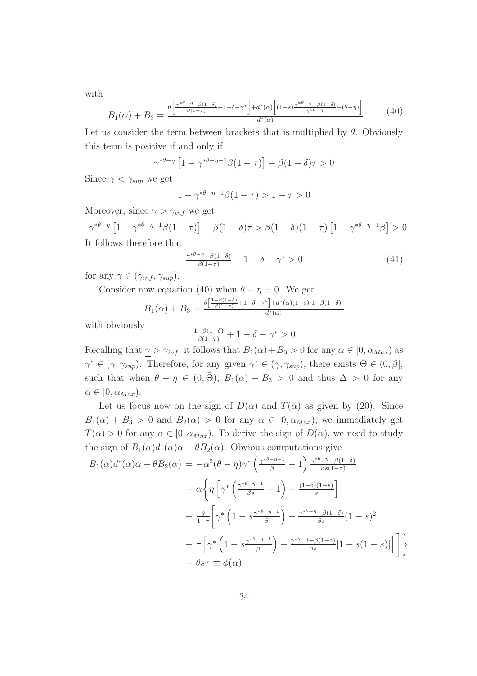with

$$
B_1(\alpha) + B_3 = \frac{\theta \left[ \frac{\gamma^{*\theta - \eta} - \beta(1-\delta)}{\beta(1-\tau)} + 1 - \delta - \gamma^* \right] + d^*(\alpha) \left[ (1-s) \frac{\gamma^{*\theta - \eta} - \beta(1-\delta)}{\gamma^{*\theta - \eta}} - (\theta - \eta) \right]}{d^*(\alpha)} \tag{40}
$$

Let us consider the term between brackets that is multiplied by  $\theta$ . Obviously this term is positive if and only if

$$
\gamma^{*\theta-\eta} \left[1 - \gamma^{*\theta-\eta-1}\beta(1-\tau)\right] - \beta(1-\delta)\tau > 0
$$

Since  $\gamma < \gamma_{\sup}$  we get

$$
1 - \gamma^{*\theta - \eta - 1} \beta (1 - \tau) > 1 - \tau > 0
$$

Moreover, since  $\gamma > \gamma_{inf}$  we get

$$
\gamma^{*\theta-\eta} \left[1 - \gamma^{*\theta-\eta-1}\beta(1-\tau)\right] - \beta(1-\delta)\tau > \beta(1-\delta)(1-\tau) \left[1 - \gamma^{*\theta-\eta-1}\beta\right] > 0
$$
  
It follows therefore that

$$
\frac{\gamma^{*\theta-\eta}-\beta(1-\delta)}{\beta(1-\tau)}+1-\delta-\gamma^*>0\tag{41}
$$

for any  $\gamma \in (\gamma_{inf}, \gamma_{sup}).$ 

Consider now equation (40) when  $\theta - \eta = 0$ . We get

$$
B_1(\alpha) + B_3 = \frac{\theta[\frac{1-\beta(1-\delta)}{\beta(1-\tau)} + 1 - \delta - \gamma^*] + d^*(\alpha)(1-s)[1-\beta(1-\delta)]}{d^*(\alpha)}
$$

with obviously

$$
\frac{1-\beta(1-\delta)}{\beta(1-\tau)}+1-\delta-\gamma^*>0
$$

Recalling that  $\gamma > \gamma_{inf}$ , it follows that  $B_1(\alpha) + B_3 > 0$  for any  $\alpha \in [0, \alpha_{Max})$  as  $\gamma^* \in (\gamma, \gamma_{\sup})$ . Therefore, for any given  $\gamma^* \in (\gamma, \gamma_{\sup})$ , there exists  $\bar{\Theta} \in (0, \beta]$ , such that when  $\theta - \eta \in (0, \bar{\Theta}), B_1(\alpha) + B_3 > 0$  and thus  $\Delta > 0$  for any  $\alpha \in [0, \alpha_{Max}).$ 

Let us focus now on the sign of  $D(\alpha)$  and  $T(\alpha)$  as given by (20). Since  $B_1(\alpha) + B_3 > 0$  and  $B_2(\alpha) > 0$  for any  $\alpha \in [0, \alpha_{Max})$ , we immediately get  $T(\alpha) > 0$  for any  $\alpha \in [0, \alpha_{Max})$ . To derive the sign of  $D(\alpha)$ , we need to study the sign of  $B_1(\alpha)d^*(\alpha)\alpha + \theta B_2(\alpha)$ . Obvious computations give

$$
B_1(\alpha)d^*(\alpha)\alpha + \theta B_2(\alpha) = -\alpha^2(\theta - \eta)\gamma^* \left(\frac{\gamma^{*\theta-\eta-1}}{\beta} - 1\right) \frac{\gamma^{*\theta-\eta} - \beta(1-\delta)}{\beta s(1-\tau)}
$$
  
+  $\alpha \left\{\eta \left[\gamma^* \left(\frac{\gamma^{*\theta-\eta-1}}{\beta s} - 1\right) - \frac{(1-\delta)(1-s)}{s}\right] + \frac{\theta}{1-\tau} \left[\gamma^* \left(1 - s\frac{\gamma^{*\theta-\eta-1}}{\beta}\right) - \frac{\gamma^{*\theta-\eta} - \beta(1-\delta)}{\beta s}(1-s)^2\right] - \tau \left[\gamma^* \left(1 - s\frac{\gamma^{*\theta-\eta-1}}{\beta}\right) - \frac{\gamma^{*\theta-\eta} - \beta(1-\delta)}{\beta s}[1 - s(1-s)]\right]\right] + \theta s\tau \equiv \phi(\alpha)$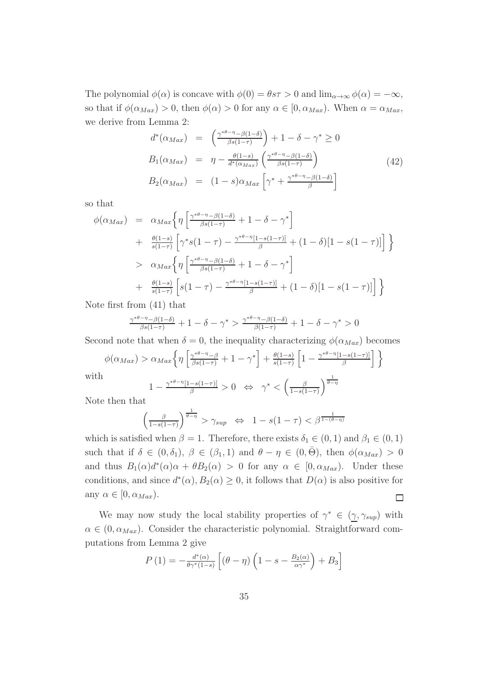The polynomial  $\phi(\alpha)$  is concave with  $\phi(0) = \theta s\tau > 0$  and  $\lim_{\alpha \to \infty} \phi(\alpha) = -\infty$ , so that if  $\phi(\alpha_{Max}) > 0$ , then  $\phi(\alpha) > 0$  for any  $\alpha \in [0, \alpha_{Max})$ . When  $\alpha = \alpha_{Max}$ , we derive from Lemma 2:

$$
d^*(\alpha_{Max}) = \left(\frac{\gamma^{*\theta-\eta-\beta(1-\delta)}}{\beta s(1-\tau)}\right) + 1 - \delta - \gamma^* \ge 0
$$
  
\n
$$
B_1(\alpha_{Max}) = \eta - \frac{\theta(1-s)}{d^*(\alpha_{Max})} \left(\frac{\gamma^{*\theta-\eta-\beta(1-\delta)}}{\beta s(1-\tau)}\right)
$$
  
\n
$$
B_2(\alpha_{Max}) = (1-s)\alpha_{Max} \left[\gamma^* + \frac{\gamma^{*\theta-\eta-\beta(1-\delta)}}{\beta}\right]
$$
\n(42)

so that

$$
\phi(\alpha_{Max}) = \alpha_{Max} \left\{ \eta \left[ \frac{\gamma^{*\theta-\eta} - \beta(1-\delta)}{\beta s(1-\tau)} + 1 - \delta - \gamma^* \right] + \frac{\theta(1-s)}{s(1-\tau)} \left[ \gamma^* s(1-\tau) - \frac{\gamma^{*\theta-\eta}[1-s(1-\tau)]}{\beta} + (1-\delta)[1-s(1-\tau)] \right] \right\}
$$
  
\n
$$
> \alpha_{Max} \left\{ \eta \left[ \frac{\gamma^{*\theta-\eta} - \beta(1-\delta)}{\beta s(1-\tau)} + 1 - \delta - \gamma^* \right] + \frac{\theta(1-s)}{s(1-\tau)} \left[ s(1-\tau) - \frac{\gamma^{*\theta-\eta}[1-s(1-\tau)]}{\beta} + (1-\delta)[1-s(1-\tau)] \right] \right\}
$$

Note first from (41) that

$$
\frac{\gamma^{*\theta-\eta}-\beta(1-\delta)}{\beta s(1-\tau)}+1-\delta-\gamma^*> \frac{\gamma^{*\theta-\eta}-\beta(1-\delta)}{\beta(1-\tau)}+1-\delta-\gamma^*>0
$$

Second note that when  $\delta = 0$ , the inequality characterizing  $\phi(\alpha_{Max})$  becomes

$$
\phi(\alpha_{Max}) > \alpha_{Max} \left\{ \eta \left[ \frac{\gamma^{*\theta - \eta} - \beta}{\beta s (1 - \tau)} + 1 - \gamma^* \right] + \frac{\theta(1 - s)}{s (1 - \tau)} \left[ 1 - \frac{\gamma^{*\theta - \eta} [1 - s (1 - \tau)]}{\beta} \right] \right\}
$$

with

$$
1 - \frac{\gamma^{*\theta - \eta}[1 - s(1 - \tau)]}{\beta} > 0 \iff \gamma^* < \left(\frac{\beta}{1 - s(1 - \tau)}\right)^{\frac{1}{\theta - \eta}}
$$

Note then that

$$
\left(\frac{\beta}{1-s(1-\tau)}\right)^{\frac{1}{\theta-\eta}} > \gamma_{\sup} \iff 1-s(1-\tau) < \beta^{\frac{1}{1-(\theta-\eta)}}
$$

which is satisfied when  $\beta = 1$ . Therefore, there exists  $\delta_1 \in (0, 1)$  and  $\beta_1 \in (0, 1)$ such that if  $\delta \in (0, \delta_1), \beta \in (\beta_1, 1)$  and  $\theta - \eta \in (0, \bar{\Theta}),$  then  $\phi(\alpha_{Max}) > 0$ and thus  $B_1(\alpha)d^*(\alpha)\alpha + \theta B_2(\alpha) > 0$  for any  $\alpha \in [0, \alpha_{Max})$ . Under these conditions, and since  $d^*(\alpha)$ ,  $B_2(\alpha) \geq 0$ , it follows that  $D(\alpha)$  is also positive for any  $\alpha \in [0, \alpha_{Max})$ .  $\Box$ 

We may now study the local stability properties of  $\gamma^* \in (\gamma, \gamma_{\text{sup}})$  with  $\alpha \in (0, \alpha_{Max})$ . Consider the characteristic polynomial. Straightforward computations from Lemma 2 give

$$
P(1) = -\frac{d^*(\alpha)}{\theta \gamma^*(1-s)} \left[ (\theta - \eta) \left( 1 - s - \frac{B_2(\alpha)}{\alpha \gamma^*} \right) + B_3 \right]
$$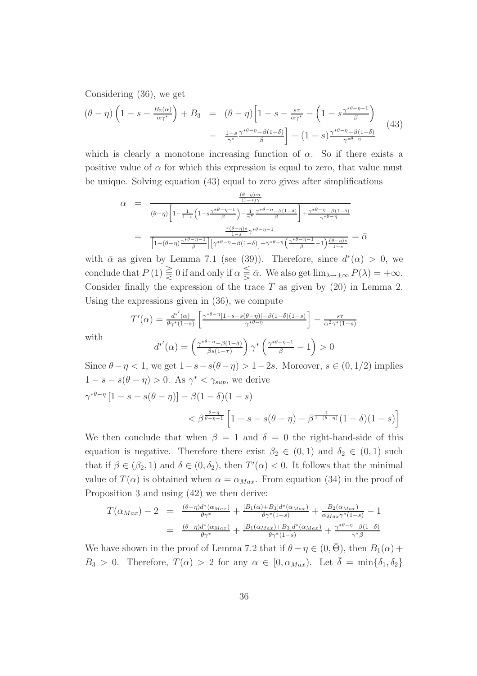Considering (36), we get

$$
(\theta - \eta) \left(1 - s - \frac{B_2(\alpha)}{\alpha \gamma^*}\right) + B_3 = (\theta - \eta) \left[1 - s - \frac{s\tau}{\alpha \gamma^*} - \left(1 - s \frac{\gamma^{*\theta - \eta - 1}}{\beta}\right) - \frac{1 - s}{\gamma^*} \frac{\gamma^{*\theta - \eta} - \beta(1 - \delta)}{\beta}\right] + (1 - s) \frac{\gamma^{*\theta - \eta} - \beta(1 - \delta)}{\gamma^{*\theta - \eta}} \tag{43}
$$

which is clearly a monotone increasing function of  $\alpha$ . So if there exists a positive value of  $\alpha$  for which this expression is equal to zero, that value must be unique. Solving equation (43) equal to zero gives after simplifications

$$
\alpha = \frac{\frac{(\theta - \eta)s\tau}{(1 - s)\gamma}}{(\theta - \eta)\left[1 - \frac{1}{1 - s}\left(1 - s\frac{\gamma^*\theta - \eta - 1}{\beta}\right) - \frac{1}{\gamma^*}\frac{\gamma^*\theta - \eta - \beta(1 - \delta)}{\beta}\right] + \frac{\gamma^*\theta - \eta - \beta(1 - \delta)}{\gamma^*\theta - \eta}}{\left[1 - (\theta - \eta)\frac{\gamma^*\theta - \eta - 1}{\beta}\right]\left[\gamma^*\theta - \eta - \beta(1 - \delta)\right] + \gamma^*\theta - \eta\left(\frac{\gamma^*\theta - \eta - 1}{\beta} - 1\right)\frac{(\theta - \eta)s}{1 - s}} = \bar{\alpha}
$$

with  $\bar{\alpha}$  as given by Lemma 7.1 (see (39)). Therefore, since  $d^*(\alpha) > 0$ , we conclude that  $P(1) \geq 0$  if and only if  $\alpha \leq \overline{\alpha}$ . We also get  $\lim_{\lambda \to \pm \infty} P(\lambda) = +\infty$ . Consider finally the expression of the trace  $T$  as given by (20) in Lemma 2. Using the expressions given in (36), we compute

$$
T'(\alpha) = \frac{d^{*'}(\alpha)}{\theta \gamma^{*}(1-s)} \left[ \frac{\gamma^{*\theta-\eta}[1-s-s(\theta-\eta)]-\beta(1-\delta)(1-s)}{\gamma^{*\theta-\eta}} \right] - \frac{s\tau}{\alpha^2 \gamma^{*}(1-s)}
$$

$$
d^{*'}(\alpha) = \left( \frac{\gamma^{*\theta-\eta}-\beta(1-\delta)}{\beta s(1-\tau)} \right) \gamma^{*} \left( \frac{\gamma^{*\theta-\eta-1}}{\beta} - 1 \right) > 0
$$

with

$$
d^{*'}(\alpha) = \left(\frac{\gamma^{* \theta - \eta} - \beta(1 - \delta)}{\beta s(1 - \tau)}\right) \gamma^* \left(\frac{\gamma^{* \theta - \eta - 1}}{\beta} - 1\right) > 0
$$
  
Since  $\theta - \eta < 1$ , we get  $1 - s - s(\theta - \eta) > 1 - 2s$ . Moreover,  $s \in (0, 1/2)$  implies

$$
1 - s - s(\theta - \eta) > 0.
$$
 As  $\gamma^* < \gamma_{sup}$ , we derive  

$$
\gamma^{*\theta - \eta} [1 - s - s(\theta - \eta)] - \beta (1 - \delta)(1 - s)
$$

$$
< \beta^{\frac{\theta - \eta}{\theta - \eta - 1}} [1 - s - s(\theta - \eta) - \beta^{\frac{1}{1 - (\theta - \eta)}} (1 - \delta)(1 - s)]
$$

We then conclude that when  $\beta = 1$  and  $\delta = 0$  the right-hand-side of this equation is negative. Therefore there exist  $\beta_2 \in (0,1)$  and  $\delta_2 \in (0,1)$  such that if  $\beta \in (\beta_2, 1)$  and  $\delta \in (0, \delta_2)$ , then  $T'(\alpha) < 0$ . It follows that the minimal value of  $T(\alpha)$  is obtained when  $\alpha = \alpha_{Max}$ . From equation (34) in the proof of Proposition 3 and using (42) we then derive:

$$
T(\alpha_{Max}) - 2 = \frac{(\theta - \eta)d^*(\alpha_{Max})}{\theta\gamma^*} + \frac{[B_1(\alpha) + B_3]d^*(\alpha_{Max})}{\theta\gamma^*(1-s)} + \frac{B_2(\alpha_{Max})}{\alpha_{Max}\gamma^*(1-s)} - 1
$$
  

$$
= \frac{(\theta - \eta)d^*(\alpha_{Max})}{\theta\gamma^*} + \frac{[B_1(\alpha_{Max}) + B_3]d^*(\alpha_{Max})}{\theta\gamma^*(1-s)} + \frac{\gamma^{*\theta - \eta} - \beta(1-\delta)}{\gamma^*\beta}
$$

We have shown in the proof of Lemma 7.2 that if  $\theta - \eta \in (0, \bar{\Theta})$ , then  $B_1(\alpha)$  +  $B_3 > 0$ . Therefore,  $T(\alpha) > 2$  for any  $\alpha \in [0, \alpha_{Max})$ . Let  $\overline{\delta} = \min\{\delta_1, \delta_2\}$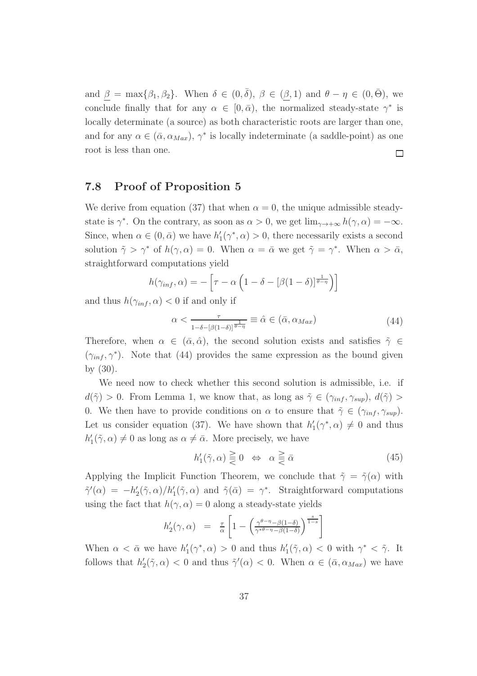and  $\beta = \max{\beta_1, \beta_2}$ . When  $\delta \in (0, \overline{\delta})$ ,  $\beta \in (\beta, 1)$  and  $\theta - \eta \in (0, \overline{\Theta})$ , we conclude finally that for any  $\alpha \in [0, \bar{\alpha})$ , the normalized steady-state  $\gamma^*$  is locally determinate (a source) as both characteristic roots are larger than one, and for any  $\alpha \in (\bar{\alpha}, \alpha_{Max}), \gamma^*$  is locally indeterminate (a saddle-point) as one root is less than one.  $\Box$ 

#### 7.8 Proof of Proposition 5

We derive from equation (37) that when  $\alpha = 0$ , the unique admissible steadystate is  $\gamma^*$ . On the contrary, as soon as  $\alpha > 0$ , we get  $\lim_{\gamma \to +\infty} h(\gamma, \alpha) = -\infty$ . Since, when  $\alpha \in (0, \bar{\alpha})$  we have  $h'_1(\gamma^*, \alpha) > 0$ , there necessarily exists a second solution  $\tilde{\gamma} > \gamma^*$  of  $h(\gamma, \alpha) = 0$ . When  $\alpha = \bar{\alpha}$  we get  $\tilde{\gamma} = \gamma^*$ . When  $\alpha > \bar{\alpha}$ , straightforward computations yield

$$
h(\gamma_{inf}, \alpha) = -\left[\tau - \alpha \left(1 - \delta - [\beta(1 - \delta)]^{\frac{1}{\theta - \eta}}\right)\right]
$$

and thus  $h(\gamma_{inf}, \alpha) < 0$  if and only if

$$
\alpha < \frac{\tau}{1 - \delta - [\beta(1 - \delta)]^{\frac{1}{\theta - \eta}}} \equiv \hat{\alpha} \in (\bar{\alpha}, \alpha_{Max}) \tag{44}
$$

Therefore, when  $\alpha \in (\bar{\alpha}, \hat{\alpha})$ , the second solution exists and satisfies  $\tilde{\gamma} \in$  $(\gamma_{inf}, \gamma^*)$ . Note that (44) provides the same expression as the bound given by (30).

We need now to check whether this second solution is admissible, i.e. if  $d(\tilde{\gamma}) > 0$ . From Lemma 1, we know that, as long as  $\tilde{\gamma} \in (\gamma_{inf}, \gamma_{sup}), d(\tilde{\gamma}) >$ 0. We then have to provide conditions on  $\alpha$  to ensure that  $\tilde{\gamma} \in (\gamma_{inf}, \gamma_{sup}).$ Let us consider equation (37). We have shown that  $h'_1(\gamma^*, \alpha) \neq 0$  and thus  $h'_1(\tilde{\gamma}, \alpha) \neq 0$  as long as  $\alpha \neq \bar{\alpha}$ . More precisely, we have

$$
h_1'(\tilde{\gamma}, \alpha) \geq 0 \iff \alpha \geq \bar{\alpha} \tag{45}
$$

Applying the Implicit Function Theorem, we conclude that  $\tilde{\gamma} = \tilde{\gamma}(\alpha)$  with  $\tilde{\gamma}'(\alpha) = -h'_2(\tilde{\gamma}, \alpha)/h'_1(\tilde{\gamma}, \alpha)$  and  $\tilde{\gamma}(\bar{\alpha}) = \gamma^*$ . Straightforward computations using the fact that  $h(\gamma, \alpha) = 0$  along a steady-state yields

$$
h_2'(\gamma, \alpha) = \frac{\tau}{\alpha} \left[ 1 - \left( \frac{\gamma^{\theta - \eta} - \beta(1 - \delta)}{\gamma^{*\theta - \eta} - \beta(1 - \delta)} \right)^{\frac{s}{1 - s}} \right]
$$

When  $\alpha < \bar{\alpha}$  we have  $h'_1(\gamma^*, \alpha) > 0$  and thus  $h'_1(\tilde{\gamma}, \alpha) < 0$  with  $\gamma^* < \tilde{\gamma}$ . It follows that  $h'_2(\tilde{\gamma}, \alpha) < 0$  and thus  $\tilde{\gamma}'(\alpha) < 0$ . When  $\alpha \in (\bar{\alpha}, \alpha_{Max})$  we have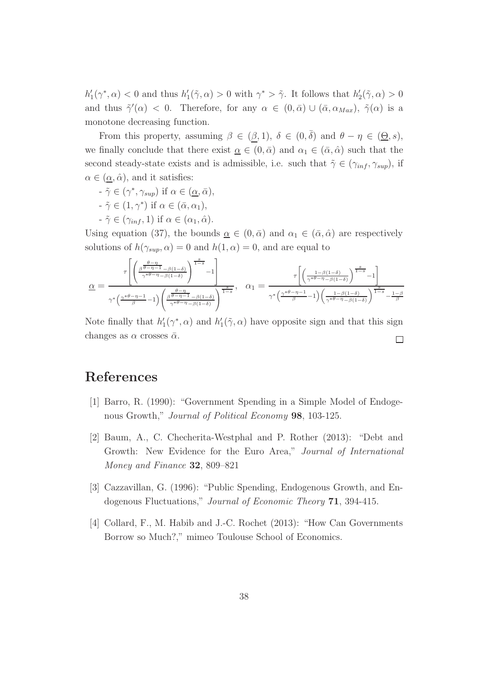$h'_1(\gamma^*, \alpha) < 0$  and thus  $h'_1(\tilde{\gamma}, \alpha) > 0$  with  $\gamma^* > \tilde{\gamma}$ . It follows that  $h'_2(\tilde{\gamma}, \alpha) > 0$ and thus  $\tilde{\gamma}'(\alpha) < 0$ . Therefore, for any  $\alpha \in (0, \bar{\alpha}) \cup (\bar{\alpha}, \alpha_{Max})$ ,  $\tilde{\gamma}(\alpha)$  is a monotone decreasing function.

From this property, assuming  $\beta \in (\beta, 1)$ ,  $\delta \in (0, \overline{\delta})$  and  $\theta - \eta \in (\underline{\Theta}, s)$ , we finally conclude that there exist  $\alpha \in (0, \bar{\alpha})$  and  $\alpha_1 \in (\bar{\alpha}, \hat{\alpha})$  such that the second steady-state exists and is admissible, i.e. such that  $\tilde{\gamma} \in (\gamma_{inf}, \gamma_{sup})$ , if  $\alpha \in (\underline{\alpha}, \hat{\alpha})$ , and it satisfies:

- $-\tilde{\gamma} \in (\gamma^*, \gamma_{\sup})$  if  $\alpha \in (\underline{\alpha}, \bar{\alpha}),$
- $-\tilde{\gamma} \in (1, \gamma^*)$  if  $\alpha \in (\bar{\alpha}, \alpha_1),$
- $-\tilde{\gamma} \in (\gamma_{inf}, 1)$  if  $\alpha \in (\alpha_1, \hat{\alpha})$ .

Using equation (37), the bounds  $\alpha \in (0, \bar{\alpha})$  and  $\alpha_1 \in (\bar{\alpha}, \hat{\alpha})$  are respectively solutions of  $h(\gamma_{sup}, \alpha) = 0$  and  $h(1, \alpha) = 0$ , and are equal to

$$
\underline{\alpha} = \frac{\tau \left[ \left( \frac{\beta^{\frac{\theta - \eta}{\theta - \eta - 1}} - \beta(1 - \delta)}{\gamma^* \theta^{-\eta} - \beta(1 - \delta)} \right)^{\frac{s}{1 - s}} - 1 \right]}{\gamma^* \left( \frac{\gamma^* \theta - \eta - 1}{\beta} - 1 \right) \left( \frac{\beta - \eta - 1}{\gamma^* \theta - \eta} - \beta(1 - \delta)}{\gamma^* \theta^{-\eta} - \beta(1 - \delta)} \right)^{\frac{s}{1 - s}}}, \quad \alpha_1 = \frac{\tau \left[ \left( \frac{1 - \beta(1 - \delta)}{\gamma^* \theta - \eta} - \beta(1 - \delta) \right)^{\frac{s}{1 - s}} - 1 \right]}{\gamma^* \left( \frac{\gamma^* \theta - \eta - 1}{\beta} - 1 \right) \left( \frac{1 - \beta(1 - \delta)}{\gamma^* \theta - \eta} - \beta(1 - \delta) \right)^{\frac{s}{1 - s}} - \frac{1 - \beta}{\beta}}.
$$

Note finally that  $h'_1(\gamma^*, \alpha)$  and  $h'_1(\tilde{\gamma}, \alpha)$  have opposite sign and that this sign changes as  $\alpha$  crosses  $\bar{\alpha}$ .  $\Box$ 

## References

- [1] Barro, R. (1990): "Government Spending in a Simple Model of Endogenous Growth," *Journal of Political Economy* 98, 103-125.
- [2] Baum, A., C. Checherita-Westphal and P. Rother (2013): "Debt and Growth: New Evidence for the Euro Area," *Journal of International Money and Finance* 32, 809–821
- [3] Cazzavillan, G. (1996): "Public Spending, Endogenous Growth, and Endogenous Fluctuations," *Journal of Economic Theory* 71, 394-415.
- [4] Collard, F., M. Habib and J.-C. Rochet (2013): "How Can Governments Borrow so Much?," mimeo Toulouse School of Economics.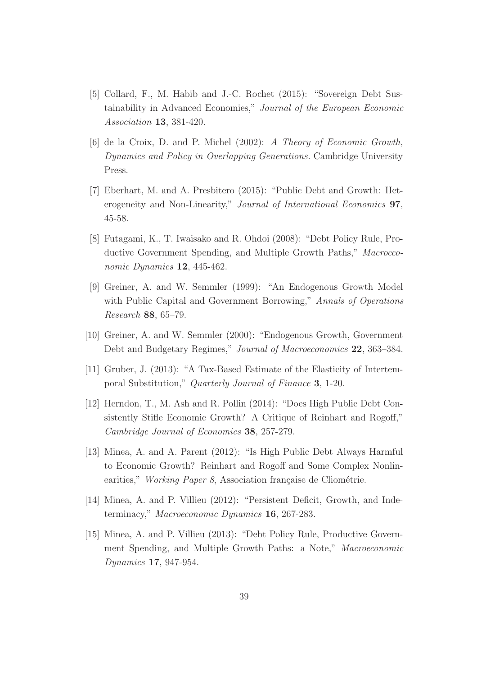- [5] Collard, F., M. Habib and J.-C. Rochet (2015): "Sovereign Debt Sustainability in Advanced Economies," *Journal of the European Economic Association* 13, 381-420.
- [6] de la Croix, D. and P. Michel (2002): *A Theory of Economic Growth, Dynamics and Policy in Overlapping Generations.* Cambridge University Press.
- [7] Eberhart, M. and A. Presbitero (2015): "Public Debt and Growth: Heterogeneity and Non-Linearity," *Journal of International Economics* 97, 45-58.
- [8] Futagami, K., T. Iwaisako and R. Ohdoi (2008): "Debt Policy Rule, Productive Government Spending, and Multiple Growth Paths," *Macroeconomic Dynamics* 12, 445-462.
- [9] Greiner, A. and W. Semmler (1999): "An Endogenous Growth Model with Public Capital and Government Borrowing," *Annals of Operations Research* 88, 65–79.
- [10] Greiner, A. and W. Semmler (2000): "Endogenous Growth, Government Debt and Budgetary Regimes," *Journal of Macroeconomics* 22, 363–384.
- [11] Gruber, J. (2013): "A Tax-Based Estimate of the Elasticity of Intertemporal Substitution," *Quarterly Journal of Finance* 3, 1-20.
- [12] Herndon, T., M. Ash and R. Pollin (2014): "Does High Public Debt Consistently Stifle Economic Growth? A Critique of Reinhart and Rogoff," *Cambridge Journal of Economics* 38, 257-279.
- [13] Minea, A. and A. Parent (2012): "Is High Public Debt Always Harmful to Economic Growth? Reinhart and Rogoff and Some Complex Nonlinearities," *Working Paper 8*, Association française de Cliométrie.
- [14] Minea, A. and P. Villieu (2012): "Persistent Deficit, Growth, and Indeterminacy," *Macroeconomic Dynamics* 16, 267-283.
- [15] Minea, A. and P. Villieu (2013): "Debt Policy Rule, Productive Government Spending, and Multiple Growth Paths: a Note," *Macroeconomic Dynamics* 17, 947-954.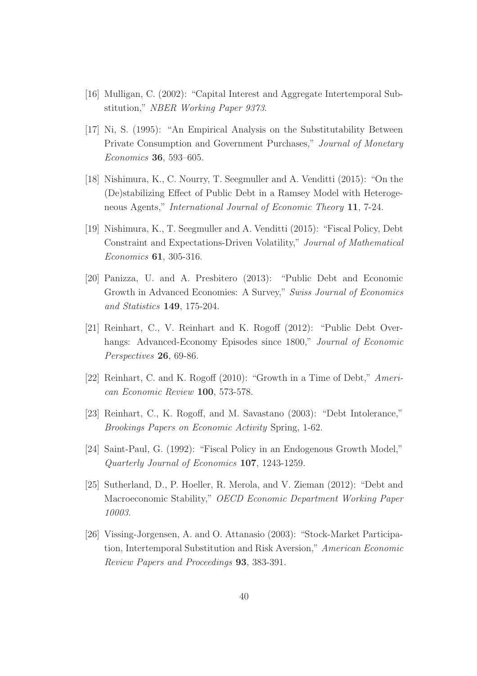- [16] Mulligan, C. (2002): "Capital Interest and Aggregate Intertemporal Substitution," *NBER Working Paper 9373*.
- [17] Ni, S. (1995): "An Empirical Analysis on the Substitutability Between Private Consumption and Government Purchases," *Journal of Monetary Economics* 36, 593–605.
- [18] Nishimura, K., C. Nourry, T. Seegmuller and A. Venditti (2015): "On the (De)stabilizing Effect of Public Debt in a Ramsey Model with Heterogeneous Agents," *International Journal of Economic Theory* 11, 7-24.
- [19] Nishimura, K., T. Seegmuller and A. Venditti (2015): "Fiscal Policy, Debt Constraint and Expectations-Driven Volatility," *Journal of Mathematical Economics* 61, 305-316.
- [20] Panizza, U. and A. Presbitero (2013): "Public Debt and Economic Growth in Advanced Economies: A Survey," *Swiss Journal of Economics and Statistics* 149, 175-204.
- [21] Reinhart, C., V. Reinhart and K. Rogoff (2012): "Public Debt Overhangs: Advanced-Economy Episodes since 1800," *Journal of Economic Perspectives* 26, 69-86.
- [22] Reinhart, C. and K. Rogoff (2010): "Growth in a Time of Debt," *American Economic Review* 100, 573-578.
- [23] Reinhart, C., K. Rogoff, and M. Savastano (2003): "Debt Intolerance," *Brookings Papers on Economic Activity* Spring, 1-62.
- [24] Saint-Paul, G. (1992): "Fiscal Policy in an Endogenous Growth Model," *Quarterly Journal of Economics* 107, 1243-1259.
- [25] Sutherland, D., P. Hoeller, R. Merola, and V. Zieman (2012): "Debt and Macroeconomic Stability," *OECD Economic Department Working Paper 10003*.
- [26] Vissing-Jorgensen, A. and O. Attanasio (2003): "Stock-Market Participation, Intertemporal Substitution and Risk Aversion," *American Economic Review Papers and Proceedings* 93, 383-391.